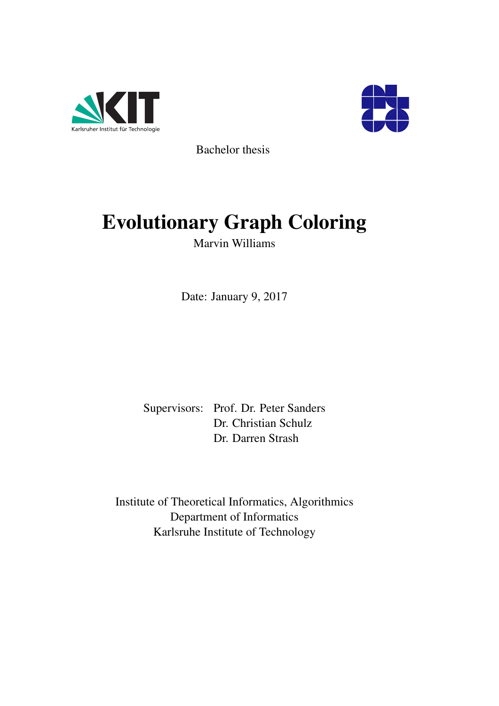



Bachelor thesis

# Evolutionary Graph Coloring

Marvin Williams

Date: January 9, 2017

Supervisors: Prof. Dr. Peter Sanders Dr. Christian Schulz Dr. Darren Strash

Institute of Theoretical Informatics, Algorithmics Department of Informatics Karlsruhe Institute of Technology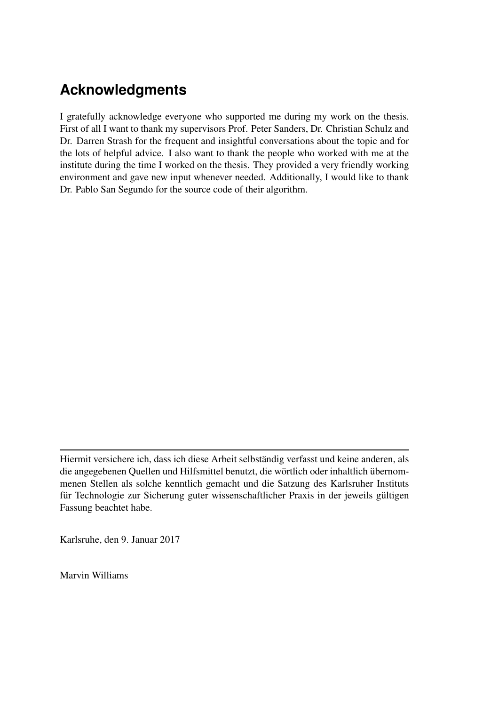# **Acknowledgments**

I gratefully acknowledge everyone who supported me during my work on the thesis. First of all I want to thank my supervisors Prof. Peter Sanders, Dr. Christian Schulz and Dr. Darren Strash for the frequent and insightful conversations about the topic and for the lots of helpful advice. I also want to thank the people who worked with me at the institute during the time I worked on the thesis. They provided a very friendly working environment and gave new input whenever needed. Additionally, I would like to thank Dr. Pablo San Segundo for the source code of their algorithm.

Karlsruhe, den 9. Januar 2017

Marvin Williams

Hiermit versichere ich, dass ich diese Arbeit selbständig verfasst und keine anderen, als die angegebenen Quellen und Hilfsmittel benutzt, die wörtlich oder inhaltlich übernommenen Stellen als solche kenntlich gemacht und die Satzung des Karlsruher Instituts für Technologie zur Sicherung guter wissenschaftlicher Praxis in der jeweils gültigen Fassung beachtet habe.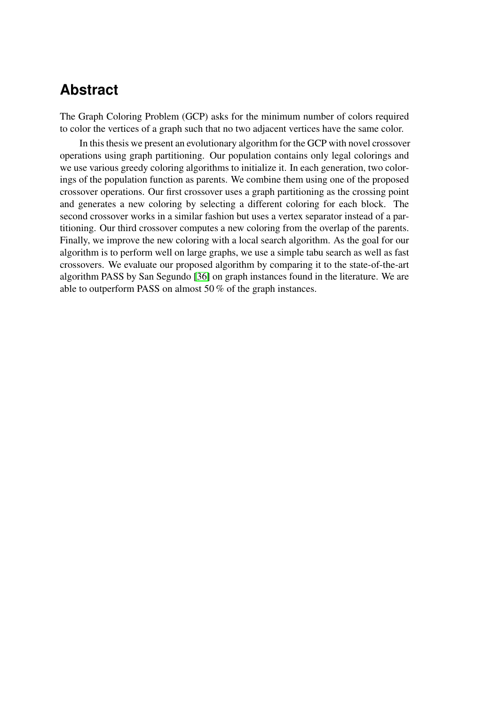### **Abstract**

The Graph Coloring Problem (GCP) asks for the minimum number of colors required to color the vertices of a graph such that no two adjacent vertices have the same color.

In this thesis we present an evolutionary algorithm for the GCP with novel crossover operations using graph partitioning. Our population contains only legal colorings and we use various greedy coloring algorithms to initialize it. In each generation, two colorings of the population function as parents. We combine them using one of the proposed crossover operations. Our first crossover uses a graph partitioning as the crossing point and generates a new coloring by selecting a different coloring for each block. The second crossover works in a similar fashion but uses a vertex separator instead of a partitioning. Our third crossover computes a new coloring from the overlap of the parents. Finally, we improve the new coloring with a local search algorithm. As the goal for our algorithm is to perform well on large graphs, we use a simple tabu search as well as fast crossovers. We evaluate our proposed algorithm by comparing it to the state-of-the-art algorithm PASS by San Segundo [\[36\]](#page-56-0) on graph instances found in the literature. We are able to outperform PASS on almost 50 % of the graph instances.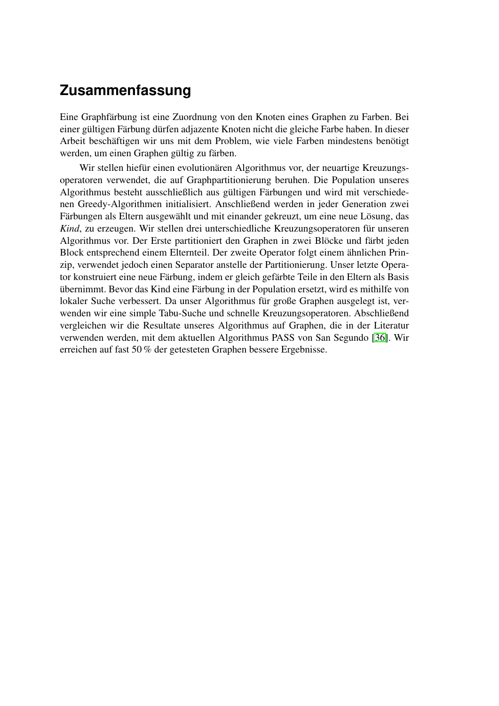## **Zusammenfassung**

Eine Graphfärbung ist eine Zuordnung von den Knoten eines Graphen zu Farben. Bei einer gültigen Färbung dürfen adjazente Knoten nicht die gleiche Farbe haben. In dieser Arbeit beschäftigen wir uns mit dem Problem, wie viele Farben mindestens benötigt werden, um einen Graphen gültig zu färben.

Wir stellen hiefür einen evolutionären Algorithmus vor, der neuartige Kreuzungsoperatoren verwendet, die auf Graphpartitionierung beruhen. Die Population unseres Algorithmus besteht ausschließlich aus gültigen Färbungen und wird mit verschiedenen Greedy-Algorithmen initialisiert. Anschließend werden in jeder Generation zwei Färbungen als Eltern ausgewählt und mit einander gekreuzt, um eine neue Lösung, das *Kind*, zu erzeugen. Wir stellen drei unterschiedliche Kreuzungsoperatoren für unseren Algorithmus vor. Der Erste partitioniert den Graphen in zwei Blöcke und färbt jeden Block entsprechend einem Elternteil. Der zweite Operator folgt einem ähnlichen Prinzip, verwendet jedoch einen Separator anstelle der Partitionierung. Unser letzte Operator konstruiert eine neue Färbung, indem er gleich gefärbte Teile in den Eltern als Basis übernimmt. Bevor das Kind eine Färbung in der Population ersetzt, wird es mithilfe von lokaler Suche verbessert. Da unser Algorithmus für große Graphen ausgelegt ist, verwenden wir eine simple Tabu-Suche und schnelle Kreuzungsoperatoren. Abschließend vergleichen wir die Resultate unseres Algorithmus auf Graphen, die in der Literatur verwenden werden, mit dem aktuellen Algorithmus PASS von San Segundo [\[36\]](#page-56-0). Wir erreichen auf fast 50 % der getesteten Graphen bessere Ergebnisse.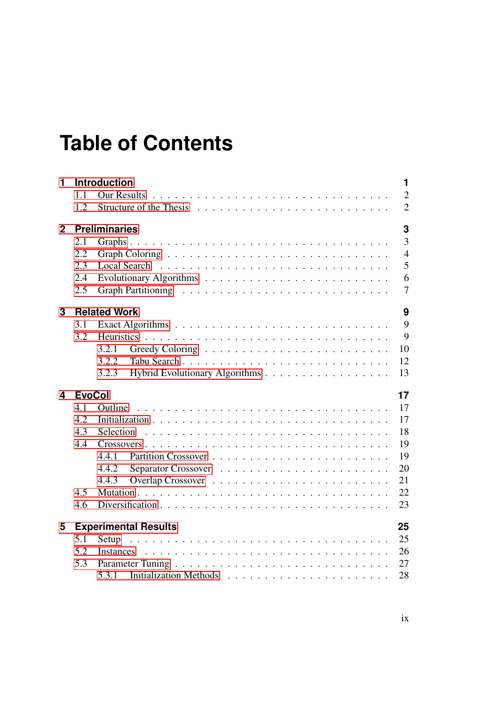# **Table of Contents**

| $\overline{2}$<br><b>Our Results</b><br>1.1<br>$\overline{2}$<br>1.2<br>Structure of the Thesis enterprise in the content of the Theories of the Theories of the Content of the Content of the Theories of the Theories of the Theories of the Theories of the Theories of the Theories of the Theorie<br>3<br><b>Preliminaries</b><br>$\mathbf{2}$<br>3<br>2.1<br>$\overline{4}$<br>2.2<br>5<br>2.3<br><b>Local Search</b><br>6<br>2.4<br>2.5<br>7<br>3<br><b>Related Work</b><br>9<br>$\mathbf{Q}$<br>3.1<br>9<br>3.2<br><b>Heuristics</b><br>3.2.1<br>10<br>3.2.2<br>12<br>Hybrid Evolutionary Algorithms<br>13<br>3.2.3<br>17<br><b>EvoCol</b><br>4<br>17<br>4.1<br>Outline<br>4.2<br>17<br>18<br>4.3<br><b>Selection</b><br>19<br>4.4<br>19<br>4.4.1<br>20<br>4.4.2<br>21<br>4.4.3<br>4.5<br>22<br>23<br>4.6<br><b>Experimental Results</b><br>25<br>5<br>25<br>5.1<br>Setup<br>26<br>5.2<br>Instances<br>5.3<br>27<br>28<br>5.3.1 | 1 | <b>Introduction</b> | 1 |
|-----------------------------------------------------------------------------------------------------------------------------------------------------------------------------------------------------------------------------------------------------------------------------------------------------------------------------------------------------------------------------------------------------------------------------------------------------------------------------------------------------------------------------------------------------------------------------------------------------------------------------------------------------------------------------------------------------------------------------------------------------------------------------------------------------------------------------------------------------------------------------------------------------------------------------------------|---|---------------------|---|
|                                                                                                                                                                                                                                                                                                                                                                                                                                                                                                                                                                                                                                                                                                                                                                                                                                                                                                                                         |   |                     |   |
|                                                                                                                                                                                                                                                                                                                                                                                                                                                                                                                                                                                                                                                                                                                                                                                                                                                                                                                                         |   |                     |   |
|                                                                                                                                                                                                                                                                                                                                                                                                                                                                                                                                                                                                                                                                                                                                                                                                                                                                                                                                         |   |                     |   |
|                                                                                                                                                                                                                                                                                                                                                                                                                                                                                                                                                                                                                                                                                                                                                                                                                                                                                                                                         |   |                     |   |
|                                                                                                                                                                                                                                                                                                                                                                                                                                                                                                                                                                                                                                                                                                                                                                                                                                                                                                                                         |   |                     |   |
|                                                                                                                                                                                                                                                                                                                                                                                                                                                                                                                                                                                                                                                                                                                                                                                                                                                                                                                                         |   |                     |   |
|                                                                                                                                                                                                                                                                                                                                                                                                                                                                                                                                                                                                                                                                                                                                                                                                                                                                                                                                         |   |                     |   |
|                                                                                                                                                                                                                                                                                                                                                                                                                                                                                                                                                                                                                                                                                                                                                                                                                                                                                                                                         |   |                     |   |
|                                                                                                                                                                                                                                                                                                                                                                                                                                                                                                                                                                                                                                                                                                                                                                                                                                                                                                                                         |   |                     |   |
|                                                                                                                                                                                                                                                                                                                                                                                                                                                                                                                                                                                                                                                                                                                                                                                                                                                                                                                                         |   |                     |   |
|                                                                                                                                                                                                                                                                                                                                                                                                                                                                                                                                                                                                                                                                                                                                                                                                                                                                                                                                         |   |                     |   |
|                                                                                                                                                                                                                                                                                                                                                                                                                                                                                                                                                                                                                                                                                                                                                                                                                                                                                                                                         |   |                     |   |
|                                                                                                                                                                                                                                                                                                                                                                                                                                                                                                                                                                                                                                                                                                                                                                                                                                                                                                                                         |   |                     |   |
|                                                                                                                                                                                                                                                                                                                                                                                                                                                                                                                                                                                                                                                                                                                                                                                                                                                                                                                                         |   |                     |   |
|                                                                                                                                                                                                                                                                                                                                                                                                                                                                                                                                                                                                                                                                                                                                                                                                                                                                                                                                         |   |                     |   |
|                                                                                                                                                                                                                                                                                                                                                                                                                                                                                                                                                                                                                                                                                                                                                                                                                                                                                                                                         |   |                     |   |
|                                                                                                                                                                                                                                                                                                                                                                                                                                                                                                                                                                                                                                                                                                                                                                                                                                                                                                                                         |   |                     |   |
|                                                                                                                                                                                                                                                                                                                                                                                                                                                                                                                                                                                                                                                                                                                                                                                                                                                                                                                                         |   |                     |   |
|                                                                                                                                                                                                                                                                                                                                                                                                                                                                                                                                                                                                                                                                                                                                                                                                                                                                                                                                         |   |                     |   |
|                                                                                                                                                                                                                                                                                                                                                                                                                                                                                                                                                                                                                                                                                                                                                                                                                                                                                                                                         |   |                     |   |
|                                                                                                                                                                                                                                                                                                                                                                                                                                                                                                                                                                                                                                                                                                                                                                                                                                                                                                                                         |   |                     |   |
|                                                                                                                                                                                                                                                                                                                                                                                                                                                                                                                                                                                                                                                                                                                                                                                                                                                                                                                                         |   |                     |   |
|                                                                                                                                                                                                                                                                                                                                                                                                                                                                                                                                                                                                                                                                                                                                                                                                                                                                                                                                         |   |                     |   |
|                                                                                                                                                                                                                                                                                                                                                                                                                                                                                                                                                                                                                                                                                                                                                                                                                                                                                                                                         |   |                     |   |
|                                                                                                                                                                                                                                                                                                                                                                                                                                                                                                                                                                                                                                                                                                                                                                                                                                                                                                                                         |   |                     |   |
|                                                                                                                                                                                                                                                                                                                                                                                                                                                                                                                                                                                                                                                                                                                                                                                                                                                                                                                                         |   |                     |   |
|                                                                                                                                                                                                                                                                                                                                                                                                                                                                                                                                                                                                                                                                                                                                                                                                                                                                                                                                         |   |                     |   |
|                                                                                                                                                                                                                                                                                                                                                                                                                                                                                                                                                                                                                                                                                                                                                                                                                                                                                                                                         |   |                     |   |
|                                                                                                                                                                                                                                                                                                                                                                                                                                                                                                                                                                                                                                                                                                                                                                                                                                                                                                                                         |   |                     |   |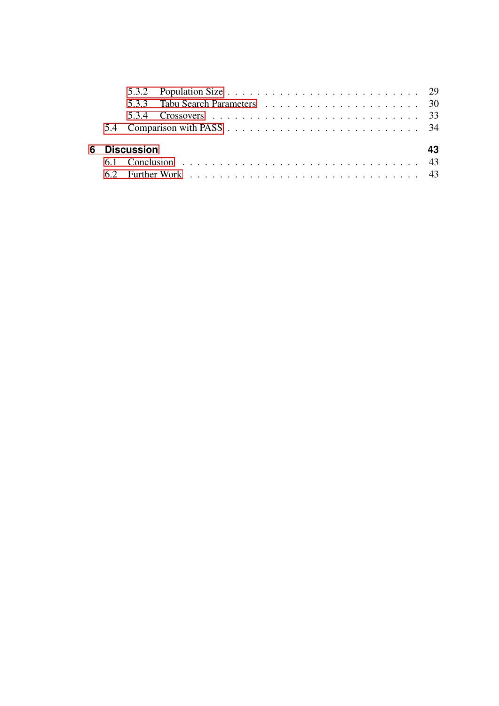|  | 6 Discussion |  |  |  |  |  |  |  |  |  |  | 43 |
|--|--------------|--|--|--|--|--|--|--|--|--|--|----|
|  |              |  |  |  |  |  |  |  |  |  |  |    |
|  |              |  |  |  |  |  |  |  |  |  |  |    |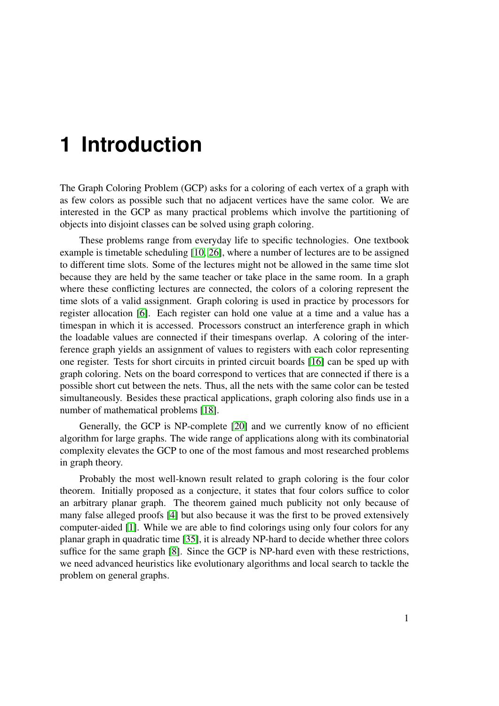# <span id="page-10-0"></span>**1 Introduction**

The Graph Coloring Problem (GCP) asks for a coloring of each vertex of a graph with as few colors as possible such that no adjacent vertices have the same color. We are interested in the GCP as many practical problems which involve the partitioning of objects into disjoint classes can be solved using graph coloring.

These problems range from everyday life to specific technologies. One textbook example is timetable scheduling [\[10,](#page-54-0) [26\]](#page-55-0), where a number of lectures are to be assigned to different time slots. Some of the lectures might not be allowed in the same time slot because they are held by the same teacher or take place in the same room. In a graph where these conflicting lectures are connected, the colors of a coloring represent the time slots of a valid assignment. Graph coloring is used in practice by processors for register allocation [\[6\]](#page-54-1). Each register can hold one value at a time and a value has a timespan in which it is accessed. Processors construct an interference graph in which the loadable values are connected if their timespans overlap. A coloring of the interference graph yields an assignment of values to registers with each color representing one register. Tests for short circuits in printed circuit boards [\[16\]](#page-55-1) can be sped up with graph coloring. Nets on the board correspond to vertices that are connected if there is a possible short cut between the nets. Thus, all the nets with the same color can be tested simultaneously. Besides these practical applications, graph coloring also finds use in a number of mathematical problems [\[18\]](#page-55-2).

Generally, the GCP is NP-complete [\[20\]](#page-55-3) and we currently know of no efficient algorithm for large graphs. The wide range of applications along with its combinatorial complexity elevates the GCP to one of the most famous and most researched problems in graph theory.

Probably the most well-known result related to graph coloring is the four color theorem. Initially proposed as a conjecture, it states that four colors suffice to color an arbitrary planar graph. The theorem gained much publicity not only because of many false alleged proofs [\[4\]](#page-54-2) but also because it was the first to be proved extensively computer-aided [\[1\]](#page-54-3). While we are able to find colorings using only four colors for any planar graph in quadratic time [\[35\]](#page-56-1), it is already NP-hard to decide whether three colors suffice for the same graph [\[8\]](#page-54-4). Since the GCP is NP-hard even with these restrictions, we need advanced heuristics like evolutionary algorithms and local search to tackle the problem on general graphs.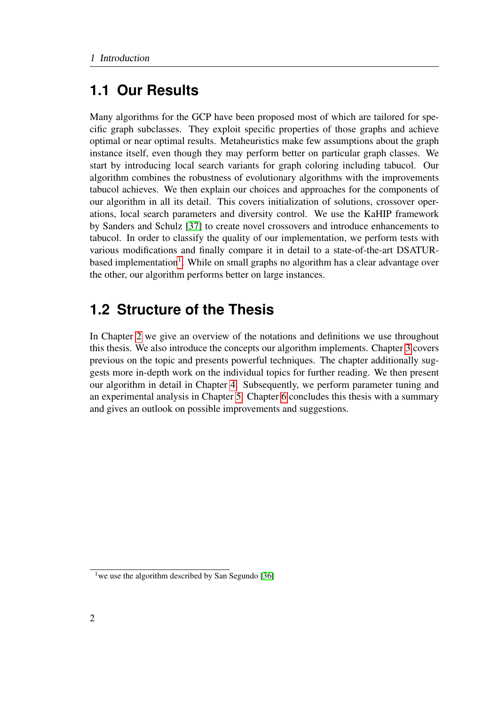## <span id="page-11-0"></span>**1.1 Our Results**

Many algorithms for the GCP have been proposed most of which are tailored for specific graph subclasses. They exploit specific properties of those graphs and achieve optimal or near optimal results. Metaheuristics make few assumptions about the graph instance itself, even though they may perform better on particular graph classes. We start by introducing local search variants for graph coloring including tabucol. Our algorithm combines the robustness of evolutionary algorithms with the improvements tabucol achieves. We then explain our choices and approaches for the components of our algorithm in all its detail. This covers initialization of solutions, crossover operations, local search parameters and diversity control. We use the KaHIP framework by Sanders and Schulz [\[37\]](#page-56-2) to create novel crossovers and introduce enhancements to tabucol. In order to classify the quality of our implementation, we perform tests with various modifications and finally compare it in detail to a state-of-the-art DSATUR-based implementation<sup>[1](#page-11-2)</sup>. While on small graphs no algorithm has a clear advantage over the other, our algorithm performs better on large instances.

## <span id="page-11-1"></span>**1.2 Structure of the Thesis**

In Chapter [2](#page-12-0) we give an overview of the notations and definitions we use throughout this thesis. We also introduce the concepts our algorithm implements. Chapter [3](#page-18-0) covers previous on the topic and presents powerful techniques. The chapter additionally suggests more in-depth work on the individual topics for further reading. We then present our algorithm in detail in Chapter [4.](#page-26-0) Subsequently, we perform parameter tuning and an experimental analysis in Chapter [5.](#page-34-0) Chapter [6](#page-52-0) concludes this thesis with a summary and gives an outlook on possible improvements and suggestions.

<span id="page-11-2"></span><sup>&</sup>lt;sup>1</sup> we use the algorithm described by San Segundo [\[36\]](#page-56-0)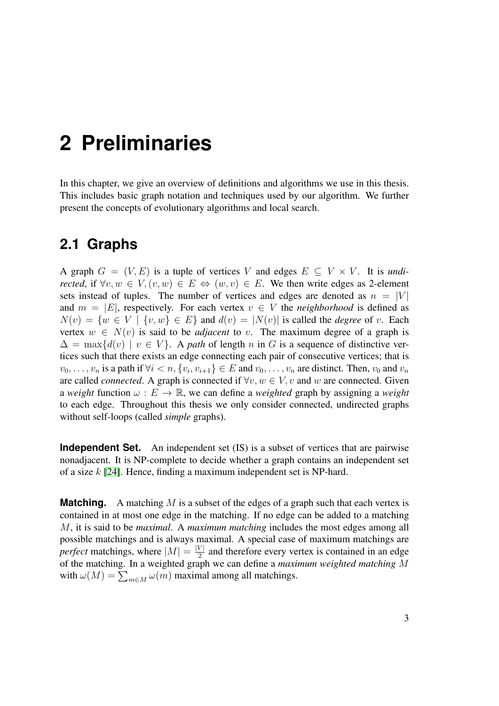# <span id="page-12-0"></span>**2 Preliminaries**

In this chapter, we give an overview of definitions and algorithms we use in this thesis. This includes basic graph notation and techniques used by our algorithm. We further present the concepts of evolutionary algorithms and local search.

#### <span id="page-12-1"></span>**2.1 Graphs**

A graph  $G = (V, E)$  is a tuple of vertices V and edges  $E \subseteq V \times V$ . It is *undirected*, if  $\forall v, w \in V, (v, w) \in E \Leftrightarrow (w, v) \in E$ . We then write edges as 2-element sets instead of tuples. The number of vertices and edges are denoted as  $n = |V|$ and  $m = |E|$ , respectively. For each vertex  $v \in V$  the *neighborhood* is defined as  $N(v) = \{w \in V \mid \{v, w\} \in E\}$  and  $d(v) = |N(v)|$  is called the *degree* of v. Each vertex  $w \in N(v)$  is said to be *adjacent* to v. The maximum degree of a graph is  $\Delta = \max\{d(v) \mid v \in V\}$ . A *path* of length n in G is a sequence of distinctive vertices such that there exists an edge connecting each pair of consecutive vertices; that is  $v_0, \ldots, v_n$  is a path if  $\forall i < n, \{v_i, v_{i+1}\} \in E$  and  $v_0, \ldots, v_n$  are distinct. Then,  $v_0$  and  $v_n$ are called *connected*. A graph is connected if  $\forall v, w \in V$ , v and w are connected. Given a *weight* function  $\omega : E \to \mathbb{R}$ , we can define a *weighted* graph by assigning a *weight* to each edge. Throughout this thesis we only consider connected, undirected graphs without self-loops (called *simple* graphs).

**Independent Set.** An independent set (IS) is a subset of vertices that are pairwise nonadjacent. It is NP-complete to decide whether a graph contains an independent set of a size k [\[24\]](#page-55-4). Hence, finding a maximum independent set is NP-hard.

**Matching.** A matching M is a subset of the edges of a graph such that each vertex is contained in at most one edge in the matching. If no edge can be added to a matching M, it is said to be *maximal*. A *maximum matching* includes the most edges among all possible matchings and is always maximal. A special case of maximum matchings are *perfect* matchings, where  $|M| = \frac{|V|}{2}$  $\frac{\nu_1}{2}$  and therefore every vertex is contained in an edge of the matching. In a weighted graph we can define a *maximum weighted matching* M with  $\omega(M) = \sum_{m \in M} \omega(m)$  maximal among all matchings.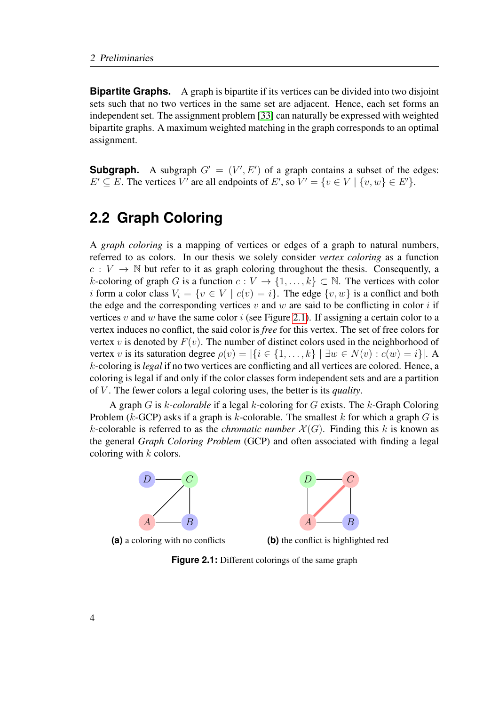**Bipartite Graphs.** A graph is bipartite if its vertices can be divided into two disjoint sets such that no two vertices in the same set are adjacent. Hence, each set forms an independent set. The assignment problem [\[33\]](#page-56-3) can naturally be expressed with weighted bipartite graphs. A maximum weighted matching in the graph corresponds to an optimal assignment.

**Subgraph.** A subgraph  $G' = (V', E')$  of a graph contains a subset of the edges:  $E' \subseteq E$ . The vertices V' are all endpoints of E', so  $V' = \{v \in V \mid \{v, w\} \in E'\}.$ 

## <span id="page-13-0"></span>**2.2 Graph Coloring**

A *graph coloring* is a mapping of vertices or edges of a graph to natural numbers, referred to as colors. In our thesis we solely consider *vertex coloring* as a function  $c: V \to \mathbb{N}$  but refer to it as graph coloring throughout the thesis. Consequently, a k-coloring of graph G is a function  $c: V \to \{1, \ldots, k\} \subset \mathbb{N}$ . The vertices with color i form a color class  $V_i = \{v \in V \mid c(v) = i\}$ . The edge  $\{v, w\}$  is a conflict and both the edge and the corresponding vertices v and w are said to be conflicting in color i if vertices v and w have the same color i (see Figure [2.1\)](#page-13-1). If assigning a certain color to a vertex induces no conflict, the said color is *free* for this vertex. The set of free colors for vertex v is denoted by  $F(v)$ . The number of distinct colors used in the neighborhood of vertex v is its saturation degree  $\rho(v) = |\{i \in \{1, ..., k\} \mid \exists w \in N(v) : c(w) = i\}|$ . A k-coloring is *legal* if no two vertices are conflicting and all vertices are colored. Hence, a coloring is legal if and only if the color classes form independent sets and are a partition of V . The fewer colors a legal coloring uses, the better is its *quality*.

A graph G is k*-colorable* if a legal k-coloring for G exists. The k-Graph Coloring Problem ( $k$ -GCP) asks if a graph is  $k$ -colorable. The smallest  $k$  for which a graph  $G$  is k-colorable is referred to as the *chromatic number*  $\mathcal{X}(G)$ . Finding this k is known as the general *Graph Coloring Problem* (GCP) and often associated with finding a legal coloring with  $k$  colors.

<span id="page-13-1"></span>

**(a)** a coloring with no conflicts



**(b)** the conflict is highlighted red

**Figure 2.1:** Different colorings of the same graph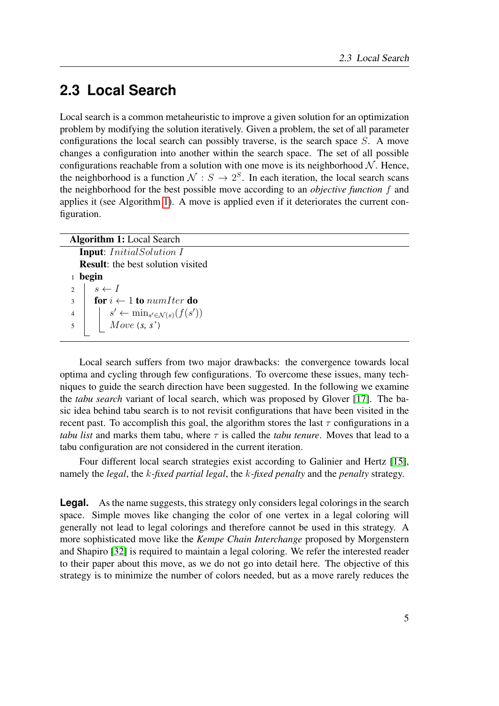## <span id="page-14-0"></span>**2.3 Local Search**

Local search is a common metaheuristic to improve a given solution for an optimization problem by modifying the solution iteratively. Given a problem, the set of all parameter configurations the local search can possibly traverse, is the search space S. A move changes a configuration into another within the search space. The set of all possible configurations reachable from a solution with one move is its neighborhood  $N$ . Hence, the neighborhood is a function  $N: S \to 2^S$ . In each iteration, the local search scans the neighborhood for the best possible move according to an *objective function* f and applies it (see Algorithm [1\)](#page-14-1). A move is applied even if it deteriorates the current configuration.

<span id="page-14-1"></span>

| <b>Algorithm 1:</b> Local Search                                                                                                |  |  |  |  |  |  |  |  |
|---------------------------------------------------------------------------------------------------------------------------------|--|--|--|--|--|--|--|--|
| <b>Input:</b> InitialSolution I                                                                                                 |  |  |  |  |  |  |  |  |
| <b>Result:</b> the best solution visited                                                                                        |  |  |  |  |  |  |  |  |
| begin                                                                                                                           |  |  |  |  |  |  |  |  |
| $s \leftarrow I$<br>$\overline{2}$                                                                                              |  |  |  |  |  |  |  |  |
| for $i \leftarrow 1$ to num <i>Iter</i> do<br>$\overline{3}$                                                                    |  |  |  |  |  |  |  |  |
| $\begin{array}{} \mid s' \leftarrow \min_{s' \in \mathcal{N}(s)} (f(s')) \\ \text{Move } (s, s') \end{array}$<br>$\overline{4}$ |  |  |  |  |  |  |  |  |
| 5                                                                                                                               |  |  |  |  |  |  |  |  |
|                                                                                                                                 |  |  |  |  |  |  |  |  |

Local search suffers from two major drawbacks: the convergence towards local optima and cycling through few configurations. To overcome these issues, many techniques to guide the search direction have been suggested. In the following we examine the *tabu search* variant of local search, which was proposed by Glover [\[17\]](#page-55-5). The basic idea behind tabu search is to not revisit configurations that have been visited in the recent past. To accomplish this goal, the algorithm stores the last  $\tau$  configurations in a *tabu list* and marks them tabu, where  $\tau$  is called the *tabu tenure*. Moves that lead to a tabu configuration are not considered in the current iteration.

Four different local search strategies exist according to Galinier and Hertz [\[15\]](#page-55-6), namely the *legal*, the k*-fixed partial legal*, the k*-fixed penalty* and the *penalty* strategy.

**Legal.** As the name suggests, this strategy only considers legal colorings in the search space. Simple moves like changing the color of one vertex in a legal coloring will generally not lead to legal colorings and therefore cannot be used in this strategy. A more sophisticated move like the *Kempe Chain Interchange* proposed by Morgenstern and Shapiro [\[32\]](#page-56-4) is required to maintain a legal coloring. We refer the interested reader to their paper about this move, as we do not go into detail here. The objective of this strategy is to minimize the number of colors needed, but as a move rarely reduces the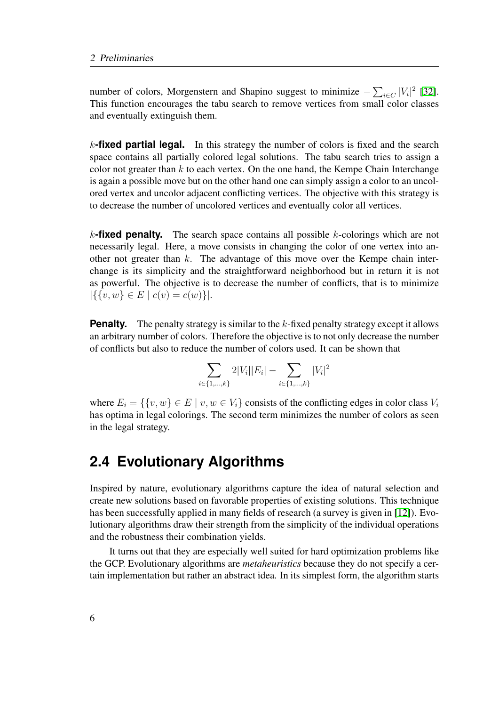number of colors, Morgenstern and Shapino suggest to minimize  $-\sum_{i\in C} |V_i|^2$  [\[32\]](#page-56-4). This function encourages the tabu search to remove vertices from small color classes and eventually extinguish them.

k**-fixed partial legal.** In this strategy the number of colors is fixed and the search space contains all partially colored legal solutions. The tabu search tries to assign a color not greater than  $k$  to each vertex. On the one hand, the Kempe Chain Interchange is again a possible move but on the other hand one can simply assign a color to an uncolored vertex and uncolor adjacent conflicting vertices. The objective with this strategy is to decrease the number of uncolored vertices and eventually color all vertices.

k**-fixed penalty.** The search space contains all possible k-colorings which are not necessarily legal. Here, a move consists in changing the color of one vertex into another not greater than  $k$ . The advantage of this move over the Kempe chain interchange is its simplicity and the straightforward neighborhood but in return it is not as powerful. The objective is to decrease the number of conflicts, that is to minimize  $|\{\{v,w\}\in E \mid c(v)=c(w)\}|.$ 

**Penalty.** The penalty strategy is similar to the  $k$ -fixed penalty strategy except it allows an arbitrary number of colors. Therefore the objective is to not only decrease the number of conflicts but also to reduce the number of colors used. It can be shown that

$$
\sum_{i \in \{1,\dots,k\}} 2|V_i||E_i| - \sum_{i \in \{1,\dots,k\}} |V_i|^2
$$

where  $E_i = \{ \{v, w\} \in E \mid v, w \in V_i \}$  consists of the conflicting edges in color class  $V_i$ has optima in legal colorings. The second term minimizes the number of colors as seen in the legal strategy.

### <span id="page-15-0"></span>**2.4 Evolutionary Algorithms**

Inspired by nature, evolutionary algorithms capture the idea of natural selection and create new solutions based on favorable properties of existing solutions. This technique has been successfully applied in many fields of research (a survey is given in [\[12\]](#page-54-5)). Evolutionary algorithms draw their strength from the simplicity of the individual operations and the robustness their combination yields.

It turns out that they are especially well suited for hard optimization problems like the GCP. Evolutionary algorithms are *metaheuristics* because they do not specify a certain implementation but rather an abstract idea. In its simplest form, the algorithm starts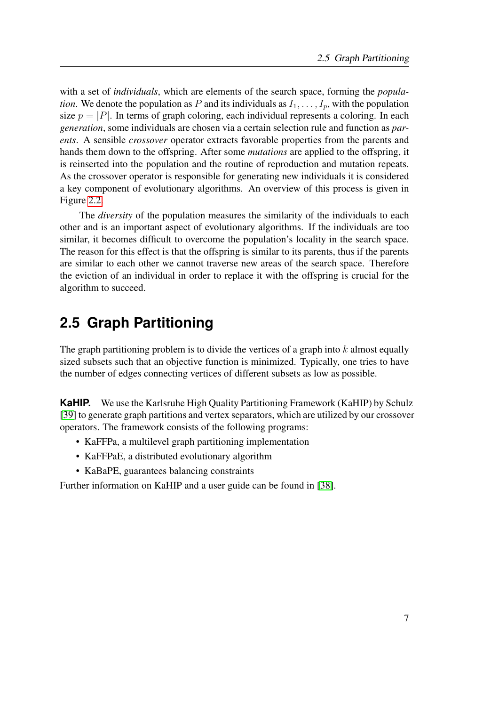with a set of *individuals*, which are elements of the search space, forming the *population*. We denote the population as P and its individuals as  $I_1, \ldots, I_p$ , with the population size  $p = |P|$ . In terms of graph coloring, each individual represents a coloring. In each *generation*, some individuals are chosen via a certain selection rule and function as *parents*. A sensible *crossover* operator extracts favorable properties from the parents and hands them down to the offspring. After some *mutations* are applied to the offspring, it is reinserted into the population and the routine of reproduction and mutation repeats. As the crossover operator is responsible for generating new individuals it is considered a key component of evolutionary algorithms. An overview of this process is given in Figure [2.2.](#page-17-0)

The *diversity* of the population measures the similarity of the individuals to each other and is an important aspect of evolutionary algorithms. If the individuals are too similar, it becomes difficult to overcome the population's locality in the search space. The reason for this effect is that the offspring is similar to its parents, thus if the parents are similar to each other we cannot traverse new areas of the search space. Therefore the eviction of an individual in order to replace it with the offspring is crucial for the algorithm to succeed.

## <span id="page-16-0"></span>**2.5 Graph Partitioning**

The graph partitioning problem is to divide the vertices of a graph into  $k$  almost equally sized subsets such that an objective function is minimized. Typically, one tries to have the number of edges connecting vertices of different subsets as low as possible.

**KaHIP.** We use the Karlsruhe High Quality Partitioning Framework (KaHIP) by Schulz [\[39\]](#page-56-5) to generate graph partitions and vertex separators, which are utilized by our crossover operators. The framework consists of the following programs:

- KaFFPa, a multilevel graph partitioning implementation
- KaFFPaE, a distributed evolutionary algorithm
- KaBaPE, guarantees balancing constraints

Further information on KaHIP and a user guide can be found in [\[38\]](#page-56-6).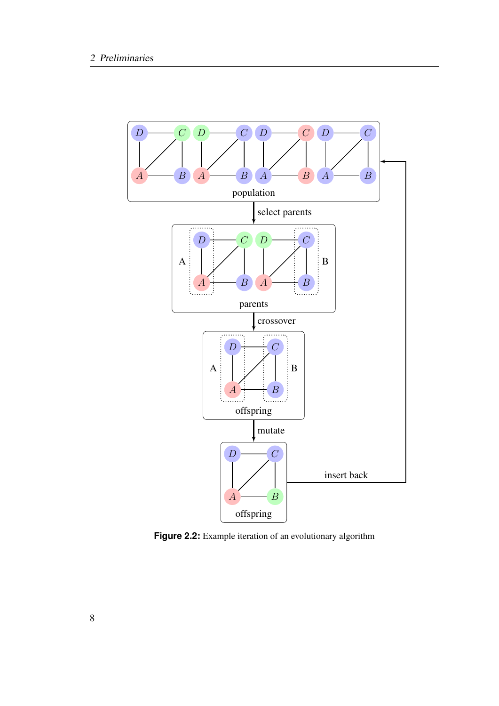<span id="page-17-0"></span>

**Figure 2.2:** Example iteration of an evolutionary algorithm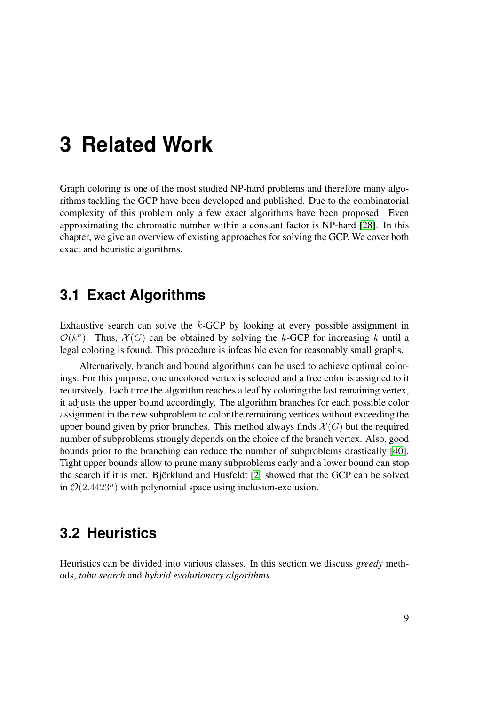# <span id="page-18-0"></span>**3 Related Work**

Graph coloring is one of the most studied NP-hard problems and therefore many algorithms tackling the GCP have been developed and published. Due to the combinatorial complexity of this problem only a few exact algorithms have been proposed. Even approximating the chromatic number within a constant factor is NP-hard [\[28\]](#page-56-7). In this chapter, we give an overview of existing approaches for solving the GCP. We cover both exact and heuristic algorithms.

### <span id="page-18-1"></span>**3.1 Exact Algorithms**

Exhaustive search can solve the  $k$ -GCP by looking at every possible assignment in  $\mathcal{O}(k^n)$ . Thus,  $\mathcal{X}(G)$  can be obtained by solving the k-GCP for increasing k until a legal coloring is found. This procedure is infeasible even for reasonably small graphs.

Alternatively, branch and bound algorithms can be used to achieve optimal colorings. For this purpose, one uncolored vertex is selected and a free color is assigned to it recursively. Each time the algorithm reaches a leaf by coloring the last remaining vertex, it adjusts the upper bound accordingly. The algorithm branches for each possible color assignment in the new subproblem to color the remaining vertices without exceeding the upper bound given by prior branches. This method always finds  $\mathcal{X}(G)$  but the required number of subproblems strongly depends on the choice of the branch vertex. Also, good bounds prior to the branching can reduce the number of subproblems drastically [\[40\]](#page-57-0). Tight upper bounds allow to prune many subproblems early and a lower bound can stop the search if it is met. Björklund and Husfeldt [\[2\]](#page-54-6) showed that the GCP can be solved in  $\mathcal{O}(2.4423^n)$  with polynomial space using inclusion-exclusion.

### <span id="page-18-2"></span>**3.2 Heuristics**

Heuristics can be divided into various classes. In this section we discuss *greedy* methods, *tabu search* and *hybrid evolutionary algorithms*.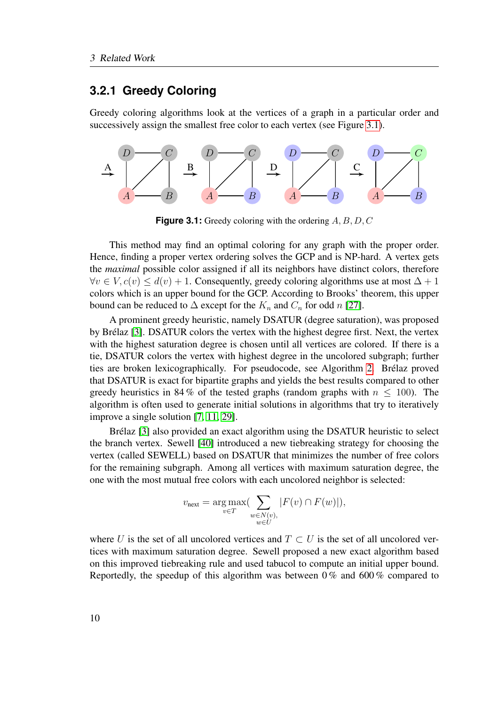#### <span id="page-19-0"></span>**3.2.1 Greedy Coloring**

Greedy coloring algorithms look at the vertices of a graph in a particular order and successively assign the smallest free color to each vertex (see Figure [3.1\)](#page-19-1).

<span id="page-19-1"></span>

**Figure 3.1:** Greedy coloring with the ordering A, B, D, C

This method may find an optimal coloring for any graph with the proper order. Hence, finding a proper vertex ordering solves the GCP and is NP-hard. A vertex gets the *maximal* possible color assigned if all its neighbors have distinct colors, therefore  $\forall v \in V, c(v) \leq d(v) + 1$ . Consequently, greedy coloring algorithms use at most  $\Delta + 1$ colors which is an upper bound for the GCP. According to Brooks' theorem, this upper bound can be reduced to  $\Delta$  except for the  $K_n$  and  $C_n$  for odd n [\[27\]](#page-56-8).

A prominent greedy heuristic, namely DSATUR (degree saturation), was proposed by Brélaz [\[3\]](#page-54-7). DSATUR colors the vertex with the highest degree first. Next, the vertex with the highest saturation degree is chosen until all vertices are colored. If there is a tie, DSATUR colors the vertex with highest degree in the uncolored subgraph; further ties are broken lexicographically. For pseudocode, see Algorithm [2.](#page-20-0) Brélaz proved that DSATUR is exact for bipartite graphs and yields the best results compared to other greedy heuristics in 84 % of the tested graphs (random graphs with  $n < 100$ ). The algorithm is often used to generate initial solutions in algorithms that try to iteratively improve a single solution [\[7,](#page-54-8) [11,](#page-54-9) [29\]](#page-56-9).

Brélaz [\[3\]](#page-54-7) also provided an exact algorithm using the DSATUR heuristic to select the branch vertex. Sewell [\[40\]](#page-57-0) introduced a new tiebreaking strategy for choosing the vertex (called SEWELL) based on DSATUR that minimizes the number of free colors for the remaining subgraph. Among all vertices with maximum saturation degree, the one with the most mutual free colors with each uncolored neighbor is selected:

$$
v_{\text{next}} = \underset{v \in T}{\arg \max} \big( \sum_{\substack{w \in N(v), \\ w \in U}} |F(v) \cap F(w)| \big),
$$

where U is the set of all uncolored vertices and  $T \subset U$  is the set of all uncolored vertices with maximum saturation degree. Sewell proposed a new exact algorithm based on this improved tiebreaking rule and used tabucol to compute an initial upper bound. Reportedly, the speedup of this algorithm was between  $0\%$  and  $600\%$  compared to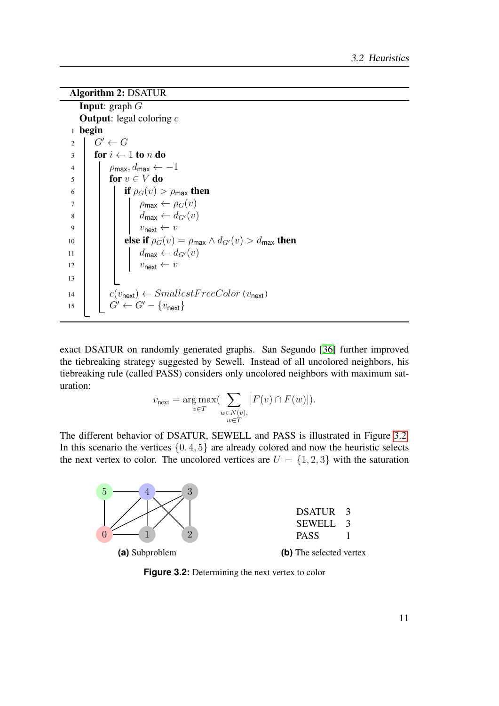```
Algorithm 2: DSATUR
```

```
Input: graph GOutput: legal coloring c1 begin
2 \mid G' \leftarrow G3 for i \leftarrow 1 to n do
4 | \rho_{\text{max}}, d_{\text{max}} \leftarrow -1\mathbf{5} | for v \in V do
6 if \rho_G(v) > \rho_{\text{max}} then
7 \mid \mid \mid \rho_{\text{max}} \leftarrow \rho_G(v)8 dmax \leftarrow d_{G'}(v)9 | | | v_{\text{next}} \leftarrow v10 else if \rho_G(v) = \rho_{\text{max}} \wedge d_{G'}(v) > d_{\text{max}} then
11 dmax ← dG0(v)
12 | | | v_{\text{next}} \leftarrow v13
14 \vert \cdot \vert c(v<sub>next</sub>) \leftarrow Smallest FreeColor(v_{\text{next}})15 G' \leftarrow G' - \{v_{\text{next}}\}
```
exact DSATUR on randomly generated graphs. San Segundo [\[36\]](#page-56-0) further improved the tiebreaking strategy suggested by Sewell. Instead of all uncolored neighbors, his tiebreaking rule (called PASS) considers only uncolored neighbors with maximum saturation:

$$
v_{\text{next}} = \underset{v \in T}{\arg \max} \left( \sum_{\substack{w \in N(v), \\ w \in T}} |F(v) \cap F(w)| \right).
$$

The different behavior of DSATUR, SEWELL and PASS is illustrated in Figure [3.2.](#page-20-1) In this scenario the vertices  $\{0, 4, 5\}$  are already colored and now the heuristic selects the next vertex to color. The uncolored vertices are  $U = \{1, 2, 3\}$  with the saturation

<span id="page-20-1"></span>

**Figure 3.2:** Determining the next vertex to color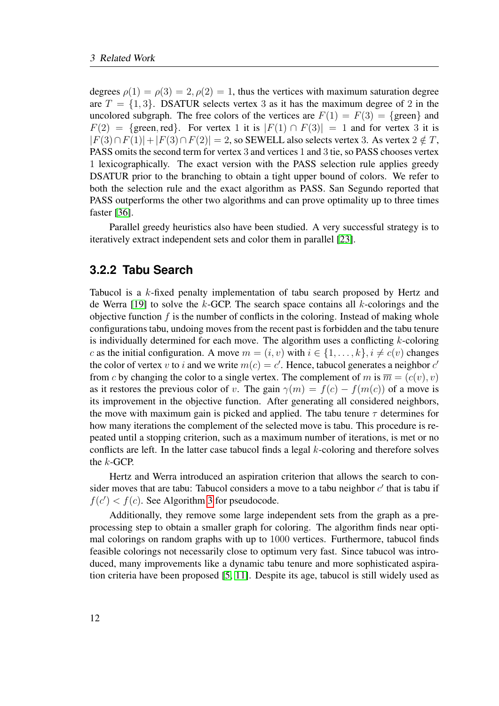degrees  $\rho(1) = \rho(3) = 2, \rho(2) = 1$ , thus the vertices with maximum saturation degree are  $T = \{1, 3\}$ . DSATUR selects vertex 3 as it has the maximum degree of 2 in the uncolored subgraph. The free colors of the vertices are  $F(1) = F(3) = \{$ green $\}$  and  $F(2) = \{$ green, red}. For vertex 1 it is  $|F(1) \cap F(3)| = 1$  and for vertex 3 it is  $|F(3) \cap F(1)| + |F(3) \cap F(2)| = 2$ , so SEWELL also selects vertex 3. As vertex  $2 \notin T$ , PASS omits the second term for vertex 3 and vertices 1 and 3 tie, so PASS chooses vertex 1 lexicographically. The exact version with the PASS selection rule applies greedy DSATUR prior to the branching to obtain a tight upper bound of colors. We refer to both the selection rule and the exact algorithm as PASS. San Segundo reported that PASS outperforms the other two algorithms and can prove optimality up to three times faster [\[36\]](#page-56-0).

Parallel greedy heuristics also have been studied. A very successful strategy is to iteratively extract independent sets and color them in parallel [\[23\]](#page-55-7).

#### <span id="page-21-0"></span>**3.2.2 Tabu Search**

Tabucol is a k-fixed penalty implementation of tabu search proposed by Hertz and de Werra [\[19\]](#page-55-8) to solve the  $k$ -GCP. The search space contains all  $k$ -colorings and the objective function  $f$  is the number of conflicts in the coloring. Instead of making whole configurations tabu, undoing moves from the recent past is forbidden and the tabu tenure is individually determined for each move. The algorithm uses a conflicting  $k$ -coloring c as the initial configuration. A move  $m = (i, v)$  with  $i \in \{1, \ldots, k\}, i \neq c(v)$  changes the color of vertex v to i and we write  $m(c) = c'$ . Hence, tabucol generates a neighbor  $c'$ from c by changing the color to a single vertex. The complement of m is  $\overline{m} = (c(v), v)$ as it restores the previous color of v. The gain  $\gamma(m) = f(c) - f(m(c))$  of a move is its improvement in the objective function. After generating all considered neighbors, the move with maximum gain is picked and applied. The tabu tenure  $\tau$  determines for how many iterations the complement of the selected move is tabu. This procedure is repeated until a stopping criterion, such as a maximum number of iterations, is met or no conflicts are left. In the latter case tabucol finds a legal  $k$ -coloring and therefore solves the k-GCP.

Hertz and Werra introduced an aspiration criterion that allows the search to consider moves that are tabu: Tabucol considers a move to a tabu neighbor  $c'$  that is tabu if  $f(c') < f(c)$ . See Algorithm [3](#page-22-1) for pseudocode.

Additionally, they remove some large independent sets from the graph as a preprocessing step to obtain a smaller graph for coloring. The algorithm finds near optimal colorings on random graphs with up to 1000 vertices. Furthermore, tabucol finds feasible colorings not necessarily close to optimum very fast. Since tabucol was introduced, many improvements like a dynamic tabu tenure and more sophisticated aspiration criteria have been proposed [\[5,](#page-54-10) [11\]](#page-54-9). Despite its age, tabucol is still widely used as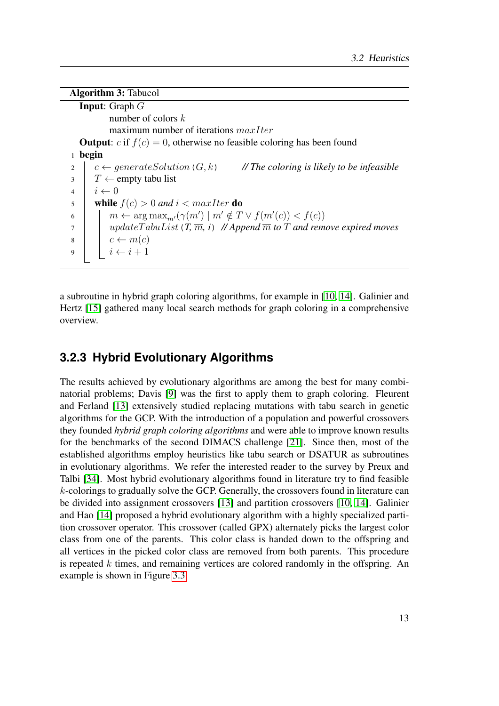```
Algorithm 3: Tabucol
  Input: Graph G
          number of colors k
          maximum number of iterations maxIter
  Output: c if f(c) = 0, otherwise no feasible coloring has been found
1 begin
2 c \leftarrow generateSolution (G, k) // The coloring is likely to be infeasible
3 \mid T \leftarrow empty tabu list
i \leftarrow 05 while f(c) > 0 and i < maxIter do
6 \mid m \leftarrow \arg \max_{m'} (\gamma(m') \mid m' \notin T \lor f(m'(c)) < f(c))7 updateT abuList(T, m, i) // Append m to T and remove expired moves
\begin{array}{c|c|c|c} \hline s & c & \rightarrow m(c) \end{array}9 i \leftarrow i+1
```
a subroutine in hybrid graph coloring algorithms, for example in [\[10,](#page-54-0) [14\]](#page-55-9). Galinier and Hertz [\[15\]](#page-55-6) gathered many local search methods for graph coloring in a comprehensive overview.

#### <span id="page-22-0"></span>**3.2.3 Hybrid Evolutionary Algorithms**

The results achieved by evolutionary algorithms are among the best for many combinatorial problems; Davis [\[9\]](#page-54-11) was the first to apply them to graph coloring. Fleurent and Ferland [\[13\]](#page-55-10) extensively studied replacing mutations with tabu search in genetic algorithms for the GCP. With the introduction of a population and powerful crossovers they founded *hybrid graph coloring algorithms* and were able to improve known results for the benchmarks of the second DIMACS challenge [\[21\]](#page-55-11). Since then, most of the established algorithms employ heuristics like tabu search or DSATUR as subroutines in evolutionary algorithms. We refer the interested reader to the survey by Preux and Talbi [\[34\]](#page-56-10). Most hybrid evolutionary algorithms found in literature try to find feasible  $k$ -colorings to gradually solve the GCP. Generally, the crossovers found in literature can be divided into assignment crossovers [\[13\]](#page-55-10) and partition crossovers [\[10,](#page-54-0) [14\]](#page-55-9). Galinier and Hao [\[14\]](#page-55-9) proposed a hybrid evolutionary algorithm with a highly specialized partition crossover operator. This crossover (called GPX) alternately picks the largest color class from one of the parents. This color class is handed down to the offspring and all vertices in the picked color class are removed from both parents. This procedure is repeated  $k$  times, and remaining vertices are colored randomly in the offspring. An example is shown in Figure [3.3.](#page-23-0)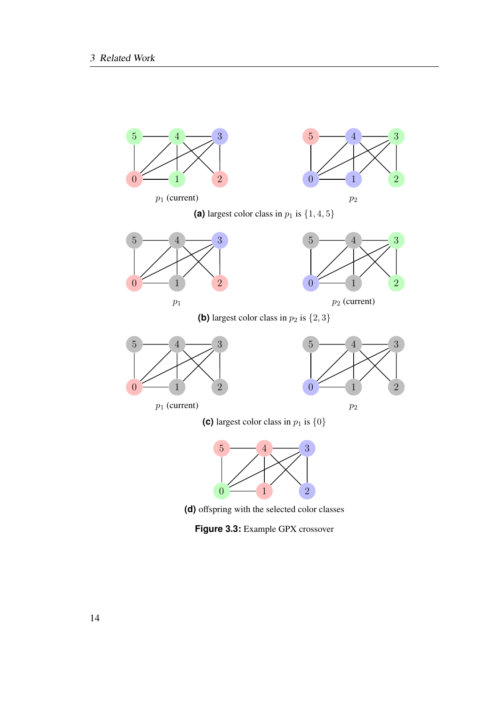<span id="page-23-0"></span>

**(d)** offspring with the selected color classes

**Figure 3.3:** Example GPX crossover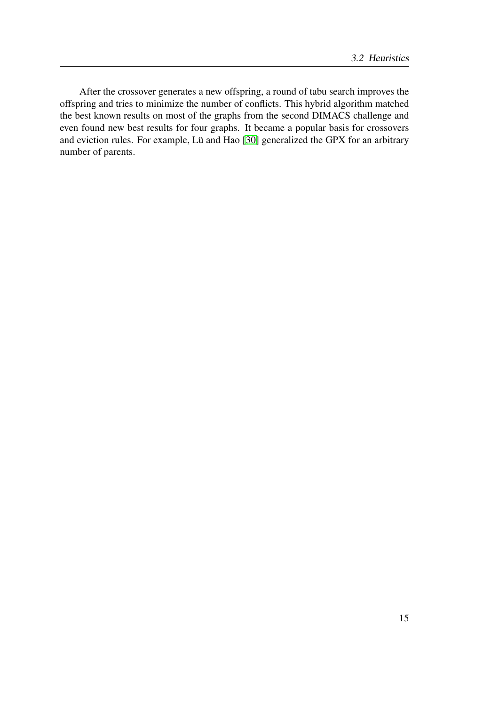After the crossover generates a new offspring, a round of tabu search improves the offspring and tries to minimize the number of conflicts. This hybrid algorithm matched the best known results on most of the graphs from the second DIMACS challenge and even found new best results for four graphs. It became a popular basis for crossovers and eviction rules. For example, Lü and Hao [\[30\]](#page-56-11) generalized the GPX for an arbitrary number of parents.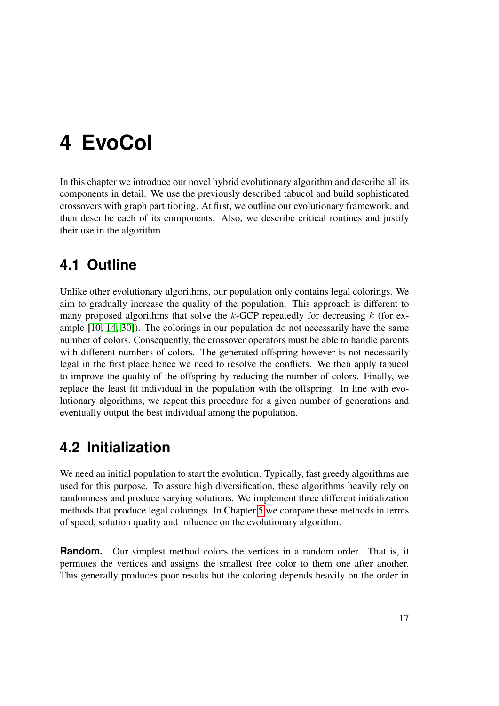# <span id="page-26-0"></span>**4 EvoCol**

In this chapter we introduce our novel hybrid evolutionary algorithm and describe all its components in detail. We use the previously described tabucol and build sophisticated crossovers with graph partitioning. At first, we outline our evolutionary framework, and then describe each of its components. Also, we describe critical routines and justify their use in the algorithm.

## <span id="page-26-1"></span>**4.1 Outline**

Unlike other evolutionary algorithms, our population only contains legal colorings. We aim to gradually increase the quality of the population. This approach is different to many proposed algorithms that solve the  $k$ -GCP repeatedly for decreasing  $k$  (for example [\[10,](#page-54-0) [14,](#page-55-9) [30\]](#page-56-11)). The colorings in our population do not necessarily have the same number of colors. Consequently, the crossover operators must be able to handle parents with different numbers of colors. The generated offspring however is not necessarily legal in the first place hence we need to resolve the conflicts. We then apply tabucol to improve the quality of the offspring by reducing the number of colors. Finally, we replace the least fit individual in the population with the offspring. In line with evolutionary algorithms, we repeat this procedure for a given number of generations and eventually output the best individual among the population.

## <span id="page-26-2"></span>**4.2 Initialization**

We need an initial population to start the evolution. Typically, fast greedy algorithms are used for this purpose. To assure high diversification, these algorithms heavily rely on randomness and produce varying solutions. We implement three different initialization methods that produce legal colorings. In Chapter [5](#page-34-0) we compare these methods in terms of speed, solution quality and influence on the evolutionary algorithm.

**Random.** Our simplest method colors the vertices in a random order. That is, it permutes the vertices and assigns the smallest free color to them one after another. This generally produces poor results but the coloring depends heavily on the order in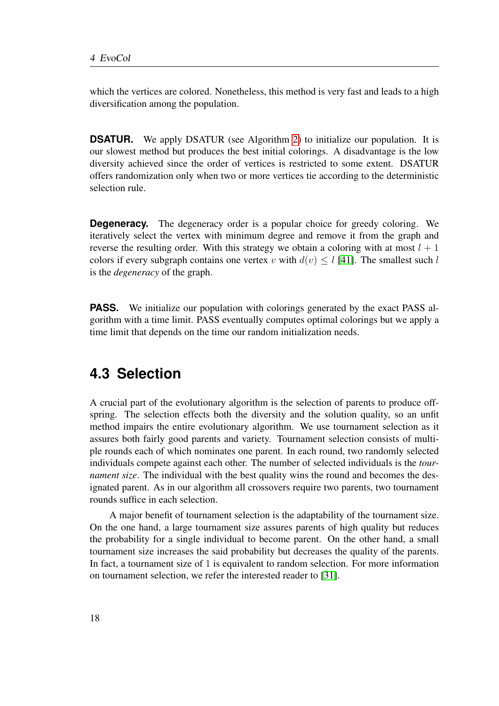which the vertices are colored. Nonetheless, this method is very fast and leads to a high diversification among the population.

**DSATUR.** We apply DSATUR (see Algorithm [2\)](#page-20-0) to initialize our population. It is our slowest method but produces the best initial colorings. A disadvantage is the low diversity achieved since the order of vertices is restricted to some extent. DSATUR offers randomization only when two or more vertices tie according to the deterministic selection rule.

**Degeneracy.** The degeneracy order is a popular choice for greedy coloring. We iteratively select the vertex with minimum degree and remove it from the graph and reverse the resulting order. With this strategy we obtain a coloring with at most  $l + 1$ colors if every subgraph contains one vertex v with  $d(v) \leq l$  [\[41\]](#page-57-1). The smallest such l is the *degeneracy* of the graph.

**PASS.** We initialize our population with colorings generated by the exact PASS algorithm with a time limit. PASS eventually computes optimal colorings but we apply a time limit that depends on the time our random initialization needs.

### <span id="page-27-0"></span>**4.3 Selection**

A crucial part of the evolutionary algorithm is the selection of parents to produce offspring. The selection effects both the diversity and the solution quality, so an unfit method impairs the entire evolutionary algorithm. We use tournament selection as it assures both fairly good parents and variety. Tournament selection consists of multiple rounds each of which nominates one parent. In each round, two randomly selected individuals compete against each other. The number of selected individuals is the *tournament size*. The individual with the best quality wins the round and becomes the designated parent. As in our algorithm all crossovers require two parents, two tournament rounds suffice in each selection.

A major benefit of tournament selection is the adaptability of the tournament size. On the one hand, a large tournament size assures parents of high quality but reduces the probability for a single individual to become parent. On the other hand, a small tournament size increases the said probability but decreases the quality of the parents. In fact, a tournament size of 1 is equivalent to random selection. For more information on tournament selection, we refer the interested reader to [\[31\]](#page-56-12).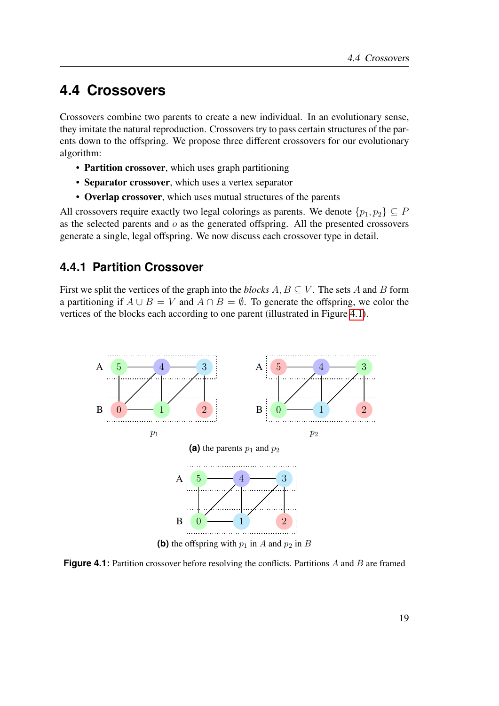### <span id="page-28-0"></span>**4.4 Crossovers**

Crossovers combine two parents to create a new individual. In an evolutionary sense, they imitate the natural reproduction. Crossovers try to pass certain structures of the parents down to the offspring. We propose three different crossovers for our evolutionary algorithm:

- Partition crossover, which uses graph partitioning
- Separator crossover, which uses a vertex separator
- Overlap crossover, which uses mutual structures of the parents

All crossovers require exactly two legal colorings as parents. We denote  $\{p_1, p_2\} \subseteq P$ as the selected parents and  $o$  as the generated offspring. All the presented crossovers generate a single, legal offspring. We now discuss each crossover type in detail.

#### <span id="page-28-1"></span>**4.4.1 Partition Crossover**

First we split the vertices of the graph into the *blocks*  $A, B \subseteq V$ . The sets A and B form a partitioning if  $A \cup B = V$  and  $A \cap B = \emptyset$ . To generate the offspring, we color the vertices of the blocks each according to one parent (illustrated in Figure [4.1\)](#page-28-2).

<span id="page-28-2"></span>

**Figure 4.1:** Partition crossover before resolving the conflicts. Partitions A and B are framed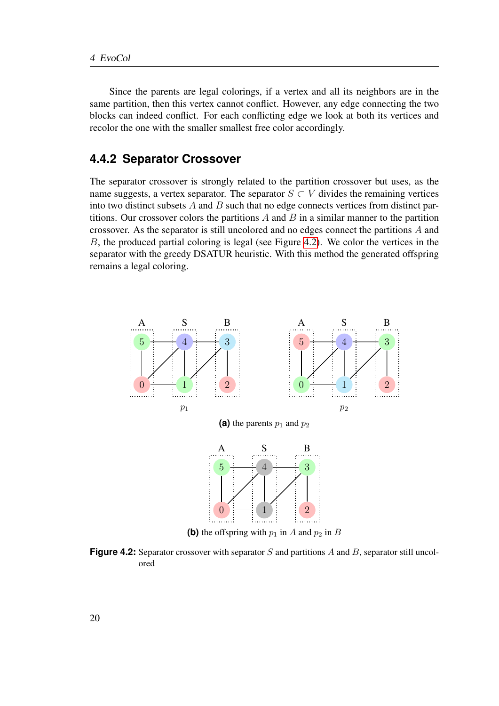Since the parents are legal colorings, if a vertex and all its neighbors are in the same partition, then this vertex cannot conflict. However, any edge connecting the two blocks can indeed conflict. For each conflicting edge we look at both its vertices and recolor the one with the smaller smallest free color accordingly.

#### <span id="page-29-0"></span>**4.4.2 Separator Crossover**

The separator crossover is strongly related to the partition crossover but uses, as the name suggests, a vertex separator. The separator  $S \subset V$  divides the remaining vertices into two distinct subsets  $A$  and  $B$  such that no edge connects vertices from distinct partitions. Our crossover colors the partitions  $A$  and  $B$  in a similar manner to the partition crossover. As the separator is still uncolored and no edges connect the partitions A and B, the produced partial coloring is legal (see Figure [4.2\)](#page-29-1). We color the vertices in the separator with the greedy DSATUR heuristic. With this method the generated offspring remains a legal coloring.

<span id="page-29-1"></span>

**Figure 4.2:** Separator crossover with separator S and partitions A and B, separator still uncolored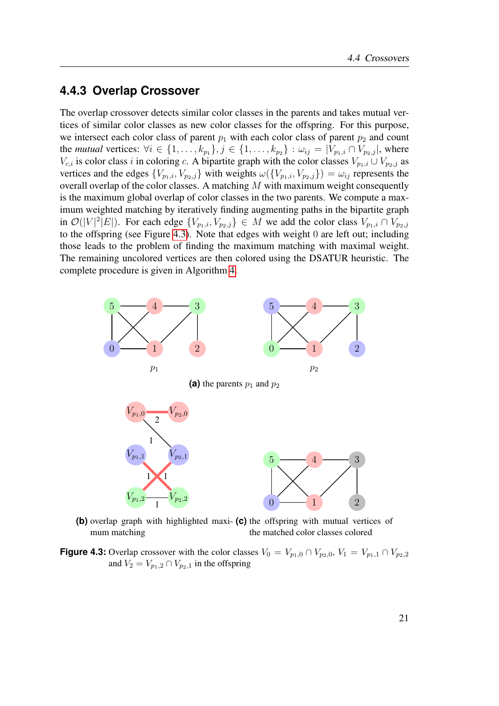#### <span id="page-30-0"></span>**4.4.3 Overlap Crossover**

The overlap crossover detects similar color classes in the parents and takes mutual vertices of similar color classes as new color classes for the offspring. For this purpose, we intersect each color class of parent  $p_1$  with each color class of parent  $p_2$  and count the *mutual* vertices:  $\forall i \in \{1, ..., k_{p_1}\}, j \in \{1, ..., k_{p_2}\} : \omega_{ij} = |V_{p_1,i} \cap V_{p_2,j}|$ , where  $V_{c,i}$  is color class i in coloring c. A bipartite graph with the color classes  $V_{p_1,i} \cup V_{p_2,j}$  as vertices and the edges  $\{V_{p_1,i}, V_{p_2,j}\}\$  with weights  $\omega(\{V_{p_1,i}, V_{p_2,j}\}) = \omega_{ij}$  represents the overall overlap of the color classes. A matching M with maximum weight consequently is the maximum global overlap of color classes in the two parents. We compute a maximum weighted matching by iteratively finding augmenting paths in the bipartite graph in  $\mathcal{O}(|V|^2|E|)$ . For each edge  $\{V_{p_1,i}, V_{p_2,j}\}\in M$  we add the color class  $V_{p_1,i}\cap V_{p_2,j}$ to the offspring (see Figure [4.3\)](#page-30-1). Note that edges with weight 0 are left out; including those leads to the problem of finding the maximum matching with maximal weight. The remaining uncolored vertices are then colored using the DSATUR heuristic. The complete procedure is given in Algorithm [4.](#page-31-1)

<span id="page-30-1"></span>

**(b)** overlap graph with highlighted maxi-**(c)** the offspring with mutual vertices of mum matching the matched color classes colored

**Figure 4.3:** Overlap crossover with the color classes  $V_0 = V_{p_1,0} \cap V_{p_2,0}, V_1 = V_{p_1,1} \cap V_{p_2,2}$ and  $V_2 = V_{p_1,2} \cap V_{p_2,1}$  in the offspring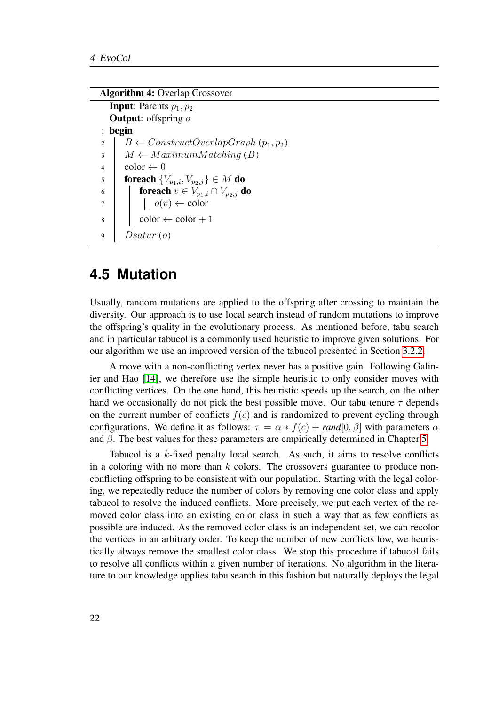#### Algorithm 4: Overlap Crossover

<span id="page-31-1"></span>**Input:** Parents  $p_1, p_2$ **Output:** offspring o <sup>1</sup> begin 2 B  $\leftarrow$  ConstructOverlapGraph (p<sub>1</sub>, p<sub>2</sub>)  $3 \mid M \leftarrow MaximumMatching(B)$  $4 \mid \text{color} \leftarrow 0$ 5 **foreach**  ${V_{p_1,i}, V_{p_2,j}} \in M$  do 6 **for in the foreach**  $v \in V_{p_1,i} \cap V_{p_2,j}$  do  $7 \mid \cdot \cdot \cdot \cdot$  o(v)  $\leftarrow$  color  $\begin{array}{c|c} \hline \end{array}$   $\begin{array}{c} \hline \end{array}$  color  $\leftarrow$  color  $+1$ 9 |  $Dsatur(o)$ 

#### <span id="page-31-0"></span>**4.5 Mutation**

Usually, random mutations are applied to the offspring after crossing to maintain the diversity. Our approach is to use local search instead of random mutations to improve the offspring's quality in the evolutionary process. As mentioned before, tabu search and in particular tabucol is a commonly used heuristic to improve given solutions. For our algorithm we use an improved version of the tabucol presented in Section [3.2.2.](#page-21-0)

A move with a non-conflicting vertex never has a positive gain. Following Galinier and Hao [\[14\]](#page-55-9), we therefore use the simple heuristic to only consider moves with conflicting vertices. On the one hand, this heuristic speeds up the search, on the other hand we occasionally do not pick the best possible move. Our tabu tenure  $\tau$  depends on the current number of conflicts  $f(c)$  and is randomized to prevent cycling through configurations. We define it as follows:  $\tau = \alpha * f(c) + \text{rand}[0, \beta]$  with parameters  $\alpha$ and  $\beta$ . The best values for these parameters are empirically determined in Chapter [5.](#page-34-0)

Tabucol is a  $k$ -fixed penalty local search. As such, it aims to resolve conflicts in a coloring with no more than  $k$  colors. The crossovers guarantee to produce nonconflicting offspring to be consistent with our population. Starting with the legal coloring, we repeatedly reduce the number of colors by removing one color class and apply tabucol to resolve the induced conflicts. More precisely, we put each vertex of the removed color class into an existing color class in such a way that as few conflicts as possible are induced. As the removed color class is an independent set, we can recolor the vertices in an arbitrary order. To keep the number of new conflicts low, we heuristically always remove the smallest color class. We stop this procedure if tabucol fails to resolve all conflicts within a given number of iterations. No algorithm in the literature to our knowledge applies tabu search in this fashion but naturally deploys the legal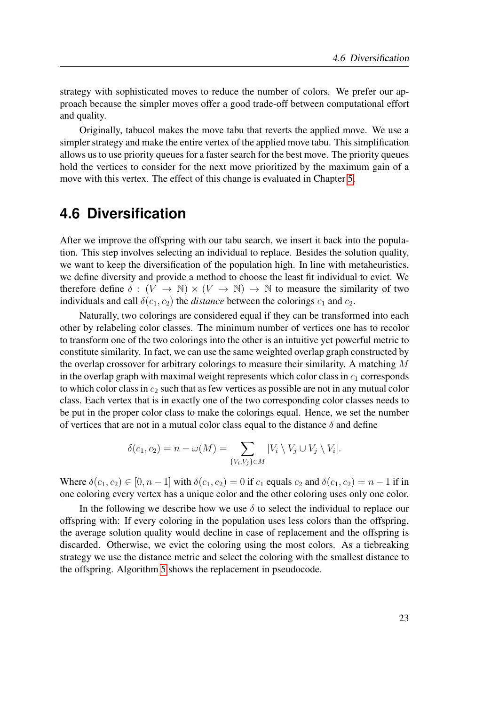strategy with sophisticated moves to reduce the number of colors. We prefer our approach because the simpler moves offer a good trade-off between computational effort and quality.

Originally, tabucol makes the move tabu that reverts the applied move. We use a simpler strategy and make the entire vertex of the applied move tabu. This simplification allows us to use priority queues for a faster search for the best move. The priority queues hold the vertices to consider for the next move prioritized by the maximum gain of a move with this vertex. The effect of this change is evaluated in Chapter [5.](#page-34-0)

### <span id="page-32-0"></span>**4.6 Diversification**

After we improve the offspring with our tabu search, we insert it back into the population. This step involves selecting an individual to replace. Besides the solution quality, we want to keep the diversification of the population high. In line with metaheuristics, we define diversity and provide a method to choose the least fit individual to evict. We therefore define  $\delta : (V \to \mathbb{N}) \times (V \to \mathbb{N}) \to \mathbb{N}$  to measure the similarity of two individuals and call  $\delta(c_1, c_2)$  the *distance* between the colorings  $c_1$  and  $c_2$ .

Naturally, two colorings are considered equal if they can be transformed into each other by relabeling color classes. The minimum number of vertices one has to recolor to transform one of the two colorings into the other is an intuitive yet powerful metric to constitute similarity. In fact, we can use the same weighted overlap graph constructed by the overlap crossover for arbitrary colorings to measure their similarity. A matching  $M$ in the overlap graph with maximal weight represents which color class in  $c_1$  corresponds to which color class in  $c_2$  such that as few vertices as possible are not in any mutual color class. Each vertex that is in exactly one of the two corresponding color classes needs to be put in the proper color class to make the colorings equal. Hence, we set the number of vertices that are not in a mutual color class equal to the distance  $\delta$  and define

$$
\delta(c_1, c_2) = n - \omega(M) = \sum_{\{V_i, V_j\} \in M} |V_i \setminus V_j \cup V_j \setminus V_i|.
$$

Where  $\delta(c_1, c_2) \in [0, n-1]$  with  $\delta(c_1, c_2) = 0$  if  $c_1$  equals  $c_2$  and  $\delta(c_1, c_2) = n-1$  if in one coloring every vertex has a unique color and the other coloring uses only one color.

In the following we describe how we use  $\delta$  to select the individual to replace our offspring with: If every coloring in the population uses less colors than the offspring, the average solution quality would decline in case of replacement and the offspring is discarded. Otherwise, we evict the coloring using the most colors. As a tiebreaking strategy we use the distance metric and select the coloring with the smallest distance to the offspring. Algorithm [5](#page-33-0) shows the replacement in pseudocode.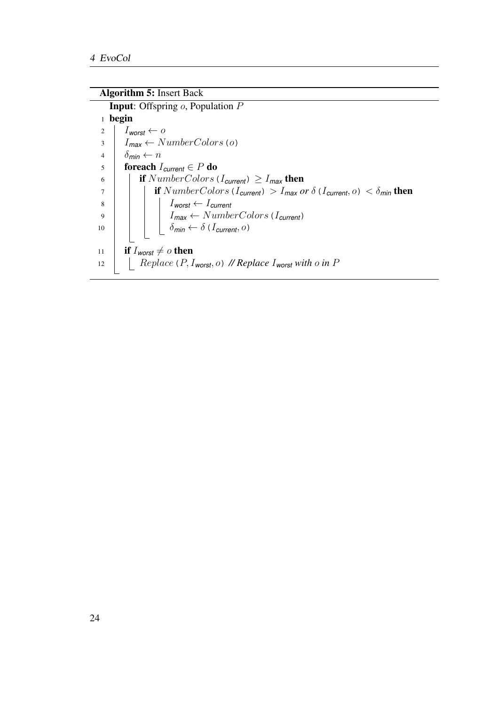Algorithm 5: Insert Back

<span id="page-33-0"></span>Input: Offspring o, Population P <sup>1</sup> begin  $I_{\text{worst}} \leftarrow o$  $\overline{\mathcal{S}}$   $I_{\text{max}} \leftarrow \text{NumberColors}$  (o)  $\delta_{\text{min}} \leftarrow n$ **foreach**  $I_{current} \in P$  **do i** if  $NumberColors (I<sub>current</sub>) \geq I<sub>max</sub>$  then  $\begin{array}{c|c|c|c} \hline \end{array}$  if  $NumberColors (I_{current}) > I_{max}$  *or*  $\delta (I_{current}, o) < \delta_{min}$  then I*worst* ← I*current*  $I_{max} \leftarrow NumberColors (I_{current})$  $\Big|$   $\Big|$   $\Big|$   $\delta$ *min*  $\leftarrow$   $\delta$  (*I* current, *o*) **if**  $I_{worst} \neq o$  then **Replace** (P, I<sub>worst</sub>, o) *//* Replace I<sub>worst</sub> with o in P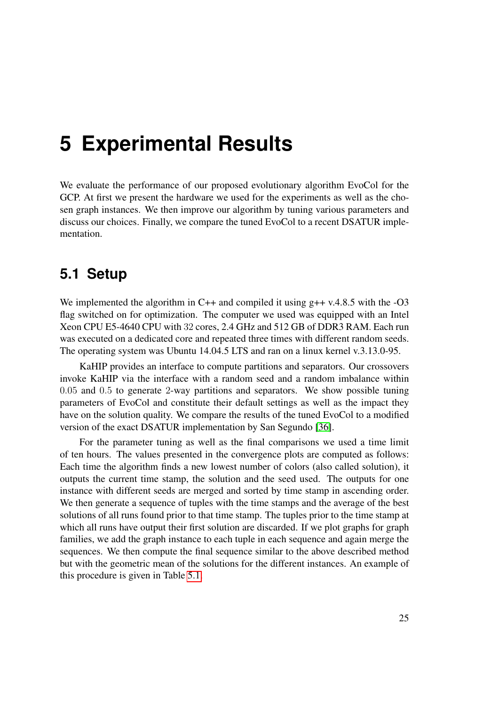# <span id="page-34-0"></span>**5 Experimental Results**

We evaluate the performance of our proposed evolutionary algorithm EvoCol for the GCP. At first we present the hardware we used for the experiments as well as the chosen graph instances. We then improve our algorithm by tuning various parameters and discuss our choices. Finally, we compare the tuned EvoCol to a recent DSATUR implementation.

### <span id="page-34-1"></span>**5.1 Setup**

We implemented the algorithm in  $C++$  and compiled it using  $g++$  v.4.8.5 with the -O3 flag switched on for optimization. The computer we used was equipped with an Intel Xeon CPU E5-4640 CPU with 32 cores, 2.4 GHz and 512 GB of DDR3 RAM. Each run was executed on a dedicated core and repeated three times with different random seeds. The operating system was Ubuntu 14.04.5 LTS and ran on a linux kernel v.3.13.0-95.

KaHIP provides an interface to compute partitions and separators. Our crossovers invoke KaHIP via the interface with a random seed and a random imbalance within 0.05 and 0.5 to generate 2-way partitions and separators. We show possible tuning parameters of EvoCol and constitute their default settings as well as the impact they have on the solution quality. We compare the results of the tuned EvoCol to a modified version of the exact DSATUR implementation by San Segundo [\[36\]](#page-56-0).

For the parameter tuning as well as the final comparisons we used a time limit of ten hours. The values presented in the convergence plots are computed as follows: Each time the algorithm finds a new lowest number of colors (also called solution), it outputs the current time stamp, the solution and the seed used. The outputs for one instance with different seeds are merged and sorted by time stamp in ascending order. We then generate a sequence of tuples with the time stamps and the average of the best solutions of all runs found prior to that time stamp. The tuples prior to the time stamp at which all runs have output their first solution are discarded. If we plot graphs for graph families, we add the graph instance to each tuple in each sequence and again merge the sequences. We then compute the final sequence similar to the above described method but with the geometric mean of the solutions for the different instances. An example of this procedure is given in Table [5.1.](#page-35-1)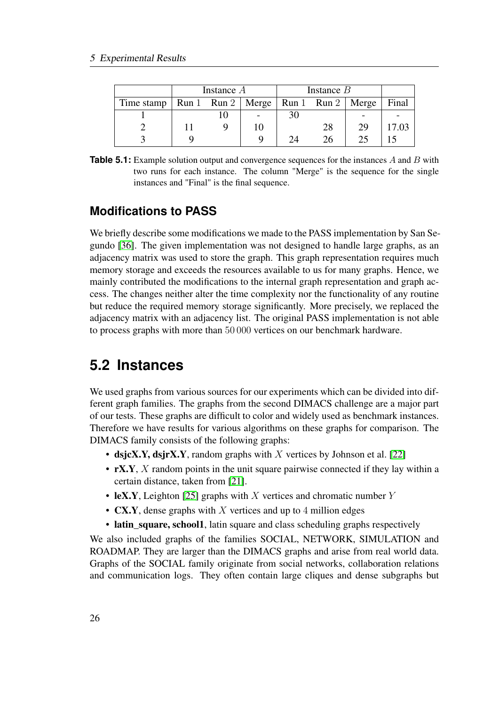<span id="page-35-1"></span>

|                                                                                | Instance A |    |                      | Instance $B$ |    |       |  |  |
|--------------------------------------------------------------------------------|------------|----|----------------------|--------------|----|-------|--|--|
| Time stamp   Run 1 $\mathbb{R}$ un 2   Merge   Run 1 $\mathbb{R}$ un 2   Merge |            |    |                      |              |    | Final |  |  |
|                                                                                |            |    | 30                   |              |    |       |  |  |
|                                                                                |            | 10 |                      | 28           | 29 | 17.03 |  |  |
|                                                                                |            |    | $\gamma_{\varDelta}$ | 26.          | 25 |       |  |  |

**Table 5.1:** Example solution output and convergence sequences for the instances A and B with two runs for each instance. The column "Merge" is the sequence for the single instances and "Final" is the final sequence.

#### **Modifications to PASS**

We briefly describe some modifications we made to the PASS implementation by San Segundo [\[36\]](#page-56-0). The given implementation was not designed to handle large graphs, as an adjacency matrix was used to store the graph. This graph representation requires much memory storage and exceeds the resources available to us for many graphs. Hence, we mainly contributed the modifications to the internal graph representation and graph access. The changes neither alter the time complexity nor the functionality of any routine but reduce the required memory storage significantly. More precisely, we replaced the adjacency matrix with an adjacency list. The original PASS implementation is not able to process graphs with more than 50 000 vertices on our benchmark hardware.

# <span id="page-35-0"></span>**5.2 Instances**

We used graphs from various sources for our experiments which can be divided into different graph families. The graphs from the second DIMACS challenge are a major part of our tests. These graphs are difficult to color and widely used as benchmark instances. Therefore we have results for various algorithms on these graphs for comparison. The DIMACS family consists of the following graphs:

- dsjcX.Y, dsjrX.Y, random graphs with X vertices by Johnson et al. [\[22\]](#page-55-12)
- rX.Y, X random points in the unit square pairwise connected if they lay within a certain distance, taken from [\[21\]](#page-55-11).
- leX.Y, Leighton [\[25\]](#page-55-13) graphs with X vertices and chromatic number Y
- **CX.Y**, dense graphs with X vertices and up to 4 million edges
- latin\_square, school1, latin square and class scheduling graphs respectively

We also included graphs of the families SOCIAL, NETWORK, SIMULATION and ROADMAP. They are larger than the DIMACS graphs and arise from real world data. Graphs of the SOCIAL family originate from social networks, collaboration relations and communication logs. They often contain large cliques and dense subgraphs but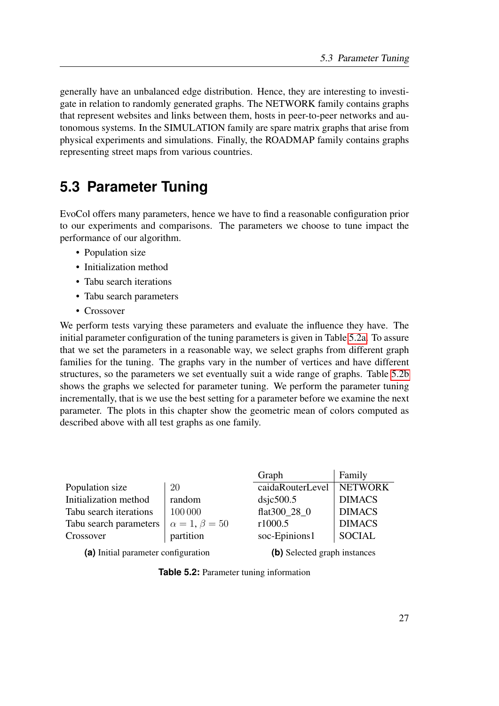generally have an unbalanced edge distribution. Hence, they are interesting to investigate in relation to randomly generated graphs. The NETWORK family contains graphs that represent websites and links between them, hosts in peer-to-peer networks and autonomous systems. In the SIMULATION family are spare matrix graphs that arise from physical experiments and simulations. Finally, the ROADMAP family contains graphs representing street maps from various countries.

## <span id="page-36-0"></span>**5.3 Parameter Tuning**

EvoCol offers many parameters, hence we have to find a reasonable configuration prior to our experiments and comparisons. The parameters we choose to tune impact the performance of our algorithm.

- Population size
- Initialization method
- Tabu search iterations
- Tabu search parameters
- Crossover

We perform tests varying these parameters and evaluate the influence they have. The initial parameter configuration of the tuning parameters is given in Table [5.2a.](#page-36-1) To assure that we set the parameters in a reasonable way, we select graphs from different graph families for the tuning. The graphs vary in the number of vertices and have different structures, so the parameters we set eventually suit a wide range of graphs. Table [5.2b](#page-36-1) shows the graphs we selected for parameter tuning. We perform the parameter tuning incrementally, that is we use the best setting for a parameter before we examine the next parameter. The plots in this chapter show the geometric mean of colors computed as described above with all test graphs as one family.

<span id="page-36-1"></span>

|                        |                          | Graph            | Family         |
|------------------------|--------------------------|------------------|----------------|
| Population size        | 20                       | caidaRouterLevel | <b>NETWORK</b> |
| Initialization method  | random                   | $ds$ jc $500.5$  | <b>DIMACS</b>  |
| Tabu search iterations | 100 000                  | flat300 28 0     | <b>DIMACS</b>  |
| Tabu search parameters | $\alpha = 1, \beta = 50$ | r1000.5          | <b>DIMACS</b>  |
| Crossover              | partition                | soc-Epinions1    | <b>SOCIAL</b>  |
|                        |                          |                  |                |

**(a)** Initial parameter configuration

**(b)** Selected graph instances

**Table 5.2:** Parameter tuning information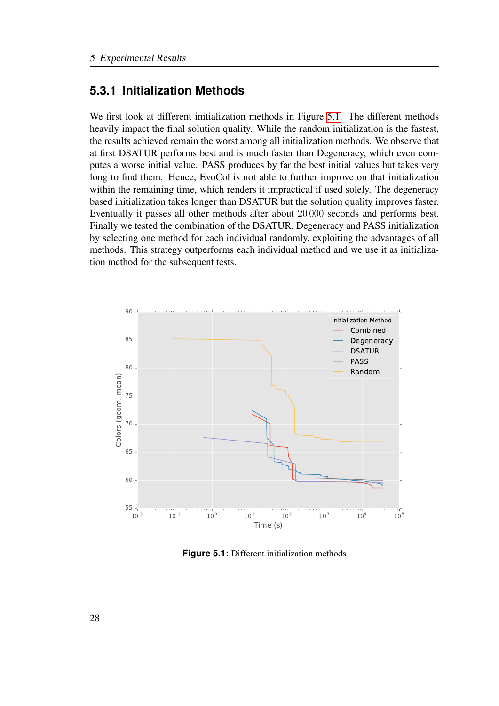#### <span id="page-37-0"></span>**5.3.1 Initialization Methods**

We first look at different initialization methods in Figure [5.1.](#page-37-1) The different methods heavily impact the final solution quality. While the random initialization is the fastest, the results achieved remain the worst among all initialization methods. We observe that at first DSATUR performs best and is much faster than Degeneracy, which even computes a worse initial value. PASS produces by far the best initial values but takes very long to find them. Hence, EvoCol is not able to further improve on that initialization within the remaining time, which renders it impractical if used solely. The degeneracy based initialization takes longer than DSATUR but the solution quality improves faster. Eventually it passes all other methods after about 20 000 seconds and performs best. Finally we tested the combination of the DSATUR, Degeneracy and PASS initialization by selecting one method for each individual randomly, exploiting the advantages of all methods. This strategy outperforms each individual method and we use it as initialization method for the subsequent tests.

<span id="page-37-1"></span>

**Figure 5.1:** Different initialization methods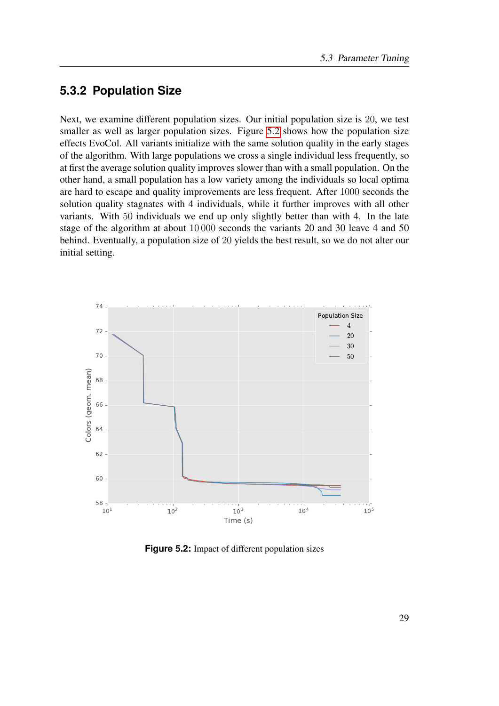#### <span id="page-38-0"></span>**5.3.2 Population Size**

Next, we examine different population sizes. Our initial population size is 20, we test smaller as well as larger population sizes. Figure [5.2](#page-38-1) shows how the population size effects EvoCol. All variants initialize with the same solution quality in the early stages of the algorithm. With large populations we cross a single individual less frequently, so at first the average solution quality improves slower than with a small population. On the other hand, a small population has a low variety among the individuals so local optima are hard to escape and quality improvements are less frequent. After 1000 seconds the solution quality stagnates with 4 individuals, while it further improves with all other variants. With 50 individuals we end up only slightly better than with 4. In the late stage of the algorithm at about 10 000 seconds the variants 20 and 30 leave 4 and 50 behind. Eventually, a population size of 20 yields the best result, so we do not alter our initial setting.

<span id="page-38-1"></span>

**Figure 5.2:** Impact of different population sizes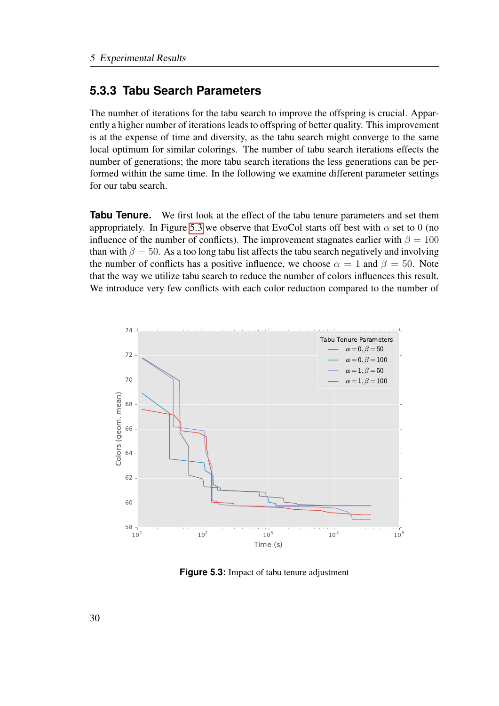#### <span id="page-39-0"></span>**5.3.3 Tabu Search Parameters**

The number of iterations for the tabu search to improve the offspring is crucial. Apparently a higher number of iterations leads to offspring of better quality. This improvement is at the expense of time and diversity, as the tabu search might converge to the same local optimum for similar colorings. The number of tabu search iterations effects the number of generations; the more tabu search iterations the less generations can be performed within the same time. In the following we examine different parameter settings for our tabu search.

**Tabu Tenure.** We first look at the effect of the tabu tenure parameters and set them appropriately. In Figure [5.3](#page-39-1) we observe that EvoCol starts off best with  $\alpha$  set to 0 (no influence of the number of conflicts). The improvement stagnates earlier with  $\beta = 100$ than with  $\beta = 50$ . As a too long tabu list affects the tabu search negatively and involving the number of conflicts has a positive influence, we choose  $\alpha = 1$  and  $\beta = 50$ . Note that the way we utilize tabu search to reduce the number of colors influences this result. We introduce very few conflicts with each color reduction compared to the number of

<span id="page-39-1"></span>

**Figure 5.3:** Impact of tabu tenure adjustment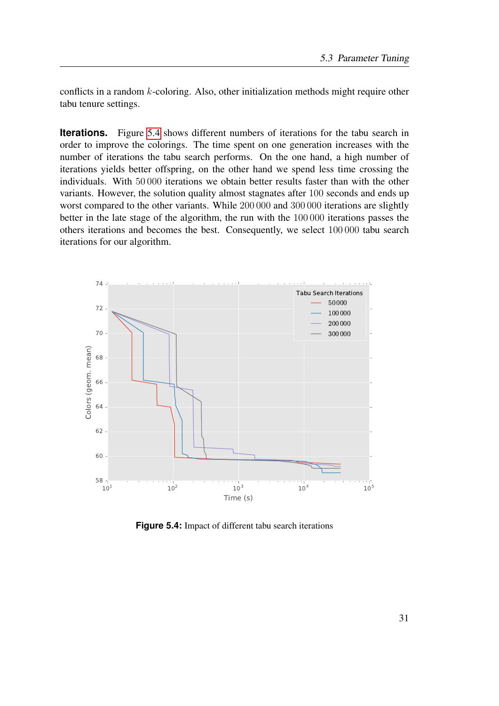conflicts in a random k-coloring. Also, other initialization methods might require other tabu tenure settings.

**Iterations.** Figure [5.4](#page-40-0) shows different numbers of iterations for the tabu search in order to improve the colorings. The time spent on one generation increases with the number of iterations the tabu search performs. On the one hand, a high number of iterations yields better offspring, on the other hand we spend less time crossing the individuals. With 50 000 iterations we obtain better results faster than with the other variants. However, the solution quality almost stagnates after 100 seconds and ends up worst compared to the other variants. While 200 000 and 300 000 iterations are slightly better in the late stage of the algorithm, the run with the 100 000 iterations passes the others iterations and becomes the best. Consequently, we select 100 000 tabu search iterations for our algorithm.

<span id="page-40-0"></span>

**Figure 5.4:** Impact of different tabu search iterations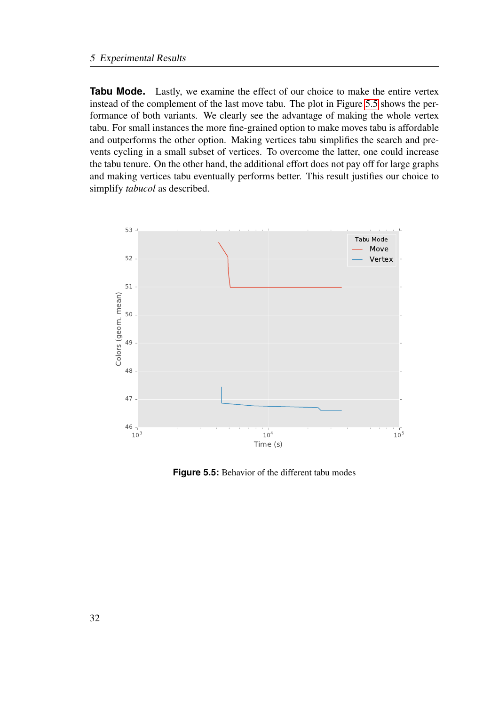**Tabu Mode.** Lastly, we examine the effect of our choice to make the entire vertex instead of the complement of the last move tabu. The plot in Figure [5.5](#page-41-0) shows the performance of both variants. We clearly see the advantage of making the whole vertex tabu. For small instances the more fine-grained option to make moves tabu is affordable and outperforms the other option. Making vertices tabu simplifies the search and prevents cycling in a small subset of vertices. To overcome the latter, one could increase the tabu tenure. On the other hand, the additional effort does not pay off for large graphs and making vertices tabu eventually performs better. This result justifies our choice to simplify *tabucol* as described.

<span id="page-41-0"></span>

**Figure 5.5:** Behavior of the different tabu modes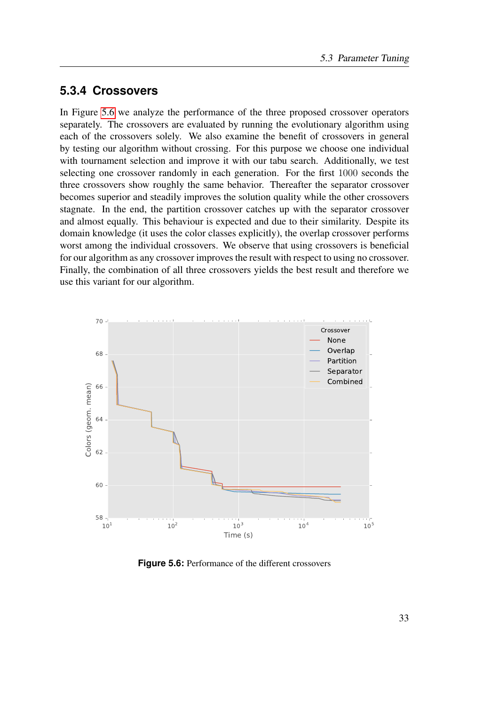#### <span id="page-42-0"></span>**5.3.4 Crossovers**

In Figure [5.6](#page-42-1) we analyze the performance of the three proposed crossover operators separately. The crossovers are evaluated by running the evolutionary algorithm using each of the crossovers solely. We also examine the benefit of crossovers in general by testing our algorithm without crossing. For this purpose we choose one individual with tournament selection and improve it with our tabu search. Additionally, we test selecting one crossover randomly in each generation. For the first 1000 seconds the three crossovers show roughly the same behavior. Thereafter the separator crossover becomes superior and steadily improves the solution quality while the other crossovers stagnate. In the end, the partition crossover catches up with the separator crossover and almost equally. This behaviour is expected and due to their similarity. Despite its domain knowledge (it uses the color classes explicitly), the overlap crossover performs worst among the individual crossovers. We observe that using crossovers is beneficial for our algorithm as any crossover improves the result with respect to using no crossover. Finally, the combination of all three crossovers yields the best result and therefore we use this variant for our algorithm.

<span id="page-42-1"></span>

**Figure 5.6:** Performance of the different crossovers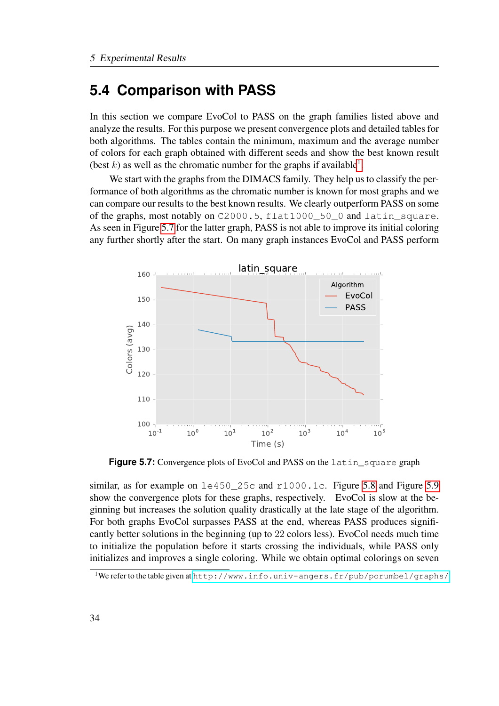### <span id="page-43-0"></span>**5.4 Comparison with PASS**

In this section we compare EvoCol to PASS on the graph families listed above and analyze the results. For this purpose we present convergence plots and detailed tables for both algorithms. The tables contain the minimum, maximum and the average number of colors for each graph obtained with different seeds and show the best known result (best k) as well as the chromatic number for the graphs if available<sup>[1](#page-43-1)</sup>.

We start with the graphs from the DIMACS family. They help us to classify the performance of both algorithms as the chromatic number is known for most graphs and we can compare our results to the best known results. We clearly outperform PASS on some of the graphs, most notably on C2000.5, flat1000 50 0 and latin square. As seen in Figure [5.7](#page-43-2) for the latter graph, PASS is not able to improve its initial coloring any further shortly after the start. On many graph instances EvoCol and PASS perform

<span id="page-43-2"></span>

Figure 5.7: Convergence plots of EvoCol and PASS on the latin\_square graph

similar, as for example on  $1e450$  25c and r1000.1c. Figure [5.8](#page-44-0) and Figure [5.9](#page-44-1) show the convergence plots for these graphs, respectively. EvoCol is slow at the beginning but increases the solution quality drastically at the late stage of the algorithm. For both graphs EvoCol surpasses PASS at the end, whereas PASS produces significantly better solutions in the beginning (up to 22 colors less). EvoCol needs much time to initialize the population before it starts crossing the individuals, while PASS only initializes and improves a single coloring. While we obtain optimal colorings on seven

<span id="page-43-1"></span><sup>1</sup>We refer to the table given at <http://www.info.univ-angers.fr/pub/porumbel/graphs/>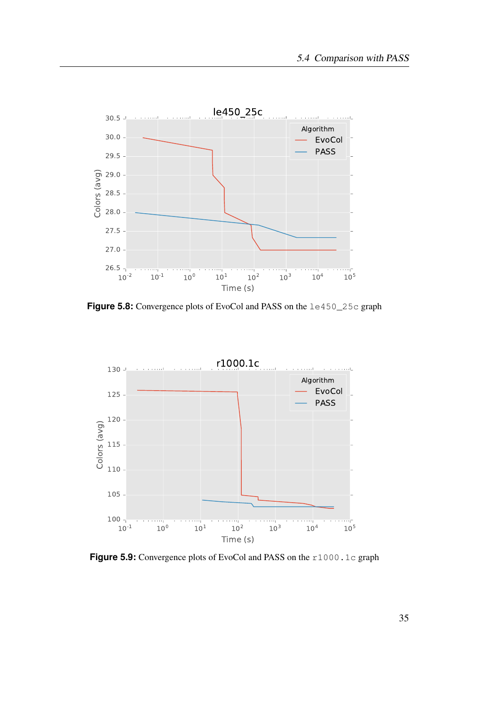<span id="page-44-0"></span>

**Figure 5.8:** Convergence plots of EvoCol and PASS on the  $1e450_25c$  graph

<span id="page-44-1"></span>

Figure 5.9: Convergence plots of EvoCol and PASS on the r1000.1c graph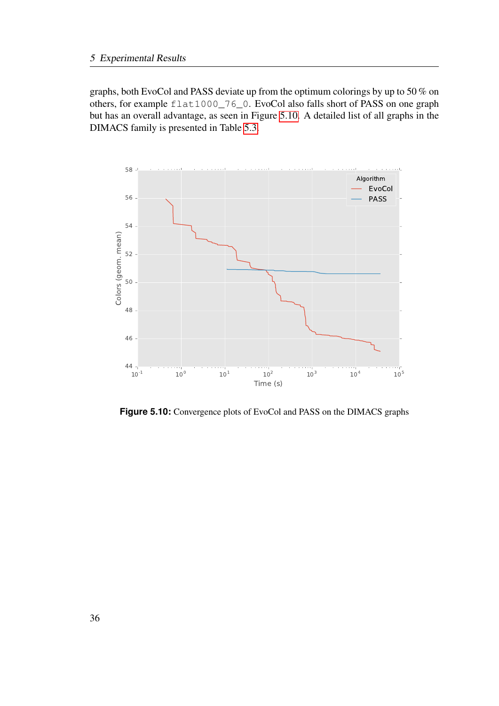graphs, both EvoCol and PASS deviate up from the optimum colorings by up to 50 % on others, for example flat1000\_76\_0. EvoCol also falls short of PASS on one graph but has an overall advantage, as seen in Figure [5.10.](#page-45-0) A detailed list of all graphs in the DIMACS family is presented in Table [5.3.](#page-46-0)

<span id="page-45-0"></span>

**Figure 5.10:** Convergence plots of EvoCol and PASS on the DIMACS graphs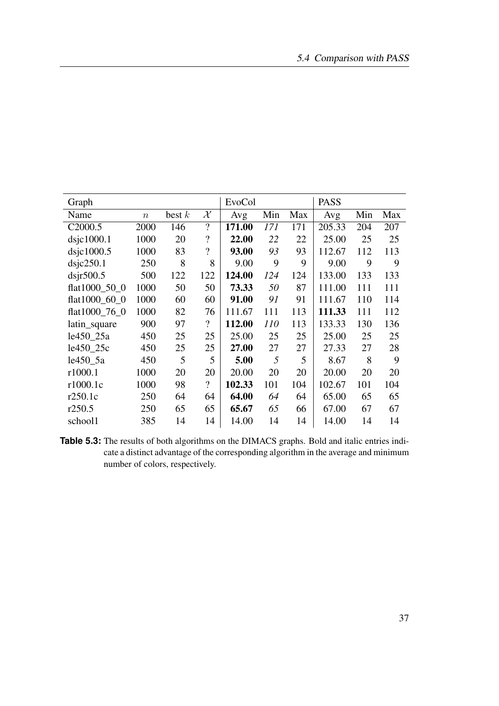<span id="page-46-0"></span>

| Graph               |                  |          |                                                          | EvoCol |     |     | <b>PASS</b> |     |     |
|---------------------|------------------|----------|----------------------------------------------------------|--------|-----|-----|-------------|-----|-----|
| Name                | $\boldsymbol{n}$ | best $k$ | $\mathcal{X}% _{M_{1},M_{2}}^{\alpha,\beta}(\mathbf{A})$ | Avg    | Min | Max | Avg         | Min | Max |
| C <sub>2000.5</sub> | 2000             | 146      | $\overline{\cdot}$                                       | 171.00 | 171 | 171 | 205.33      | 204 | 207 |
| $ds$ jc $1000.1$    | 1000             | 20       | $\overline{\cdot}$                                       | 22.00  | 22  | 22  | 25.00       | 25  | 25  |
| $ds$ jc1000.5       | 1000             | 83       | $\overline{\mathcal{L}}$                                 | 93.00  | 93  | 93  | 112.67      | 112 | 113 |
| disic250.1          | 250              | 8        | 8                                                        | 9.00   | 9   | 9   | 9.00        | 9   | 9   |
| $ds$ jr500.5        | 500              | 122      | 122                                                      | 124.00 | 124 | 124 | 133.00      | 133 | 133 |
| flat1000 50 0       | 1000             | 50       | 50                                                       | 73.33  | 50  | 87  | 111.00      | 111 | 111 |
| flat1000_60_0       | 1000             | 60       | 60                                                       | 91.00  | 91  | 91  | 111.67      | 110 | 114 |
| flat1000 76 0       | 1000             | 82       | 76                                                       | 111.67 | 111 | 113 | 111.33      | 111 | 112 |
| latin_square        | 900              | 97       | $\overline{\mathcal{L}}$                                 | 112.00 | 110 | 113 | 133.33      | 130 | 136 |
| le450_25a           | 450              | 25       | 25                                                       | 25.00  | 25  | 25  | 25.00       | 25  | 25  |
| le450_25c           | 450              | 25       | 25                                                       | 27.00  | 27  | 27  | 27.33       | 27  | 28  |
| le450 5a            | 450              | 5        | 5                                                        | 5.00   | 5   | 5   | 8.67        | 8   | 9   |
| r1000.1             | 1000             | 20       | 20                                                       | 20.00  | 20  | 20  | 20.00       | 20  | 20  |
| r1000.1c            | 1000             | 98       | $\overline{\mathcal{L}}$                                 | 102.33 | 101 | 104 | 102.67      | 101 | 104 |
| r250.1c             | 250              | 64       | 64                                                       | 64.00  | 64  | 64  | 65.00       | 65  | 65  |
| r250.5              | 250              | 65       | 65                                                       | 65.67  | 65  | 66  | 67.00       | 67  | 67  |
| school1             | 385              | 14       | 14                                                       | 14.00  | 14  | 14  | 14.00       | 14  | 14  |

**Table 5.3:** The results of both algorithms on the DIMACS graphs. Bold and italic entries indicate a distinct advantage of the corresponding algorithm in the average and minimum number of colors, respectively.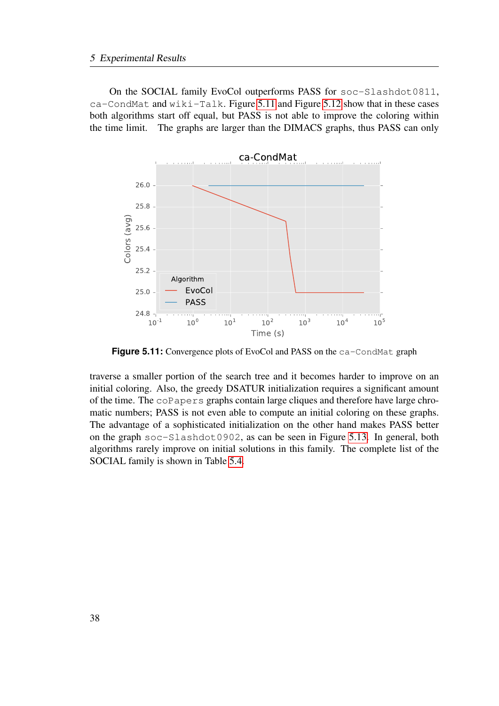On the SOCIAL family EvoCol outperforms PASS for soc-Slashdot0811, ca-CondMat and wiki-Talk. Figure [5.11](#page-47-0) and Figure [5.12](#page-48-0) show that in these cases both algorithms start off equal, but PASS is not able to improve the coloring within the time limit. The graphs are larger than the DIMACS graphs, thus PASS can only

<span id="page-47-0"></span>

Figure 5.11: Convergence plots of EvoCol and PASS on the ca-CondMat graph

traverse a smaller portion of the search tree and it becomes harder to improve on an initial coloring. Also, the greedy DSATUR initialization requires a significant amount of the time. The coPapers graphs contain large cliques and therefore have large chromatic numbers; PASS is not even able to compute an initial coloring on these graphs. The advantage of a sophisticated initialization on the other hand makes PASS better on the graph soc-Slashdot0902, as can be seen in Figure [5.13.](#page-48-1) In general, both algorithms rarely improve on initial solutions in this family. The complete list of the SOCIAL family is shown in Table [5.4.](#page-49-0)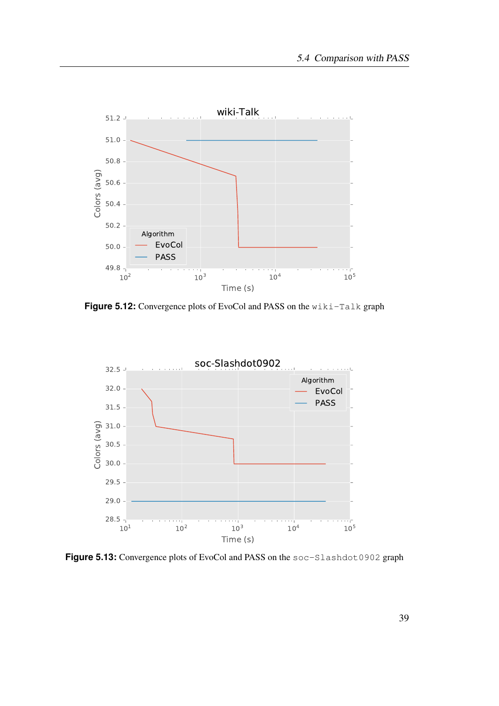<span id="page-48-0"></span>

**Figure 5.12:** Convergence plots of EvoCol and PASS on the wiki-Talk graph

<span id="page-48-1"></span>

Figure 5.13: Convergence plots of EvoCol and PASS on the soc-Slashdot0902 graph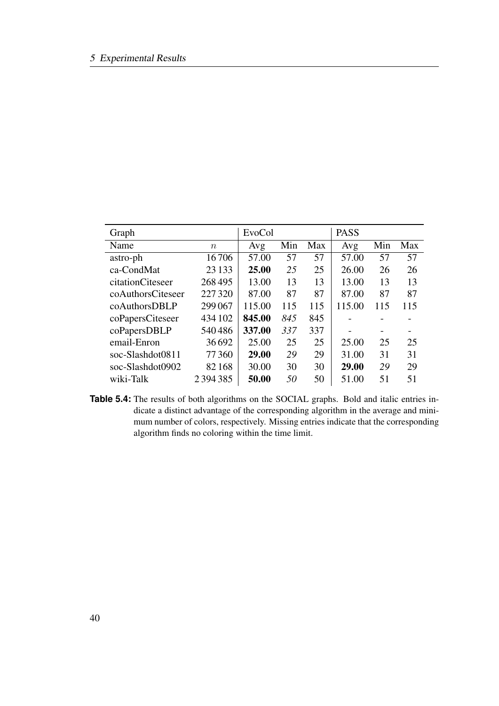<span id="page-49-0"></span>

| Graph             |         | EvoCol |     |     | <b>PASS</b> |     |     |
|-------------------|---------|--------|-----|-----|-------------|-----|-----|
| Name              | $\,n$   | Avg    | Min | Max | Avg         | Min | Max |
| astro-ph          | 16706   | 57.00  | 57  | 57  | 57.00       | 57  | 57  |
| ca-CondMat        | 23 133  | 25.00  | 25  | 25  | 26.00       | 26  | 26  |
| citationCiteseer  | 268495  | 13.00  | 13  | 13  | 13.00       | 13  | 13  |
| coAuthorsCiteseer | 227320  | 87.00  | 87  | 87  | 87.00       | 87  | 87  |
| coAuthorsDBLP     | 299 067 | 115.00 | 115 | 115 | 115.00      | 115 | 115 |
| coPapersCiteseer  | 434 102 | 845.00 | 845 | 845 |             |     |     |
| coPapersDBLP      | 540486  | 337.00 | 337 | 337 |             |     |     |
| email-Enron       | 36692   | 25.00  | 25  | 25  | 25.00       | 25  | 25  |
| soc-Slashdot0811  | 77360   | 29.00  | 29  | 29  | 31.00       | 31  | 31  |
| soc-Slashdot0902  | 82168   | 30.00  | 30  | 30  | 29.00       | 29  | 29  |
| wiki-Talk         | 2394385 | 50.00  | 50  | 50  | 51.00       | 51  | 51  |

**Table 5.4:** The results of both algorithms on the SOCIAL graphs. Bold and italic entries indicate a distinct advantage of the corresponding algorithm in the average and minimum number of colors, respectively. Missing entries indicate that the corresponding algorithm finds no coloring within the time limit.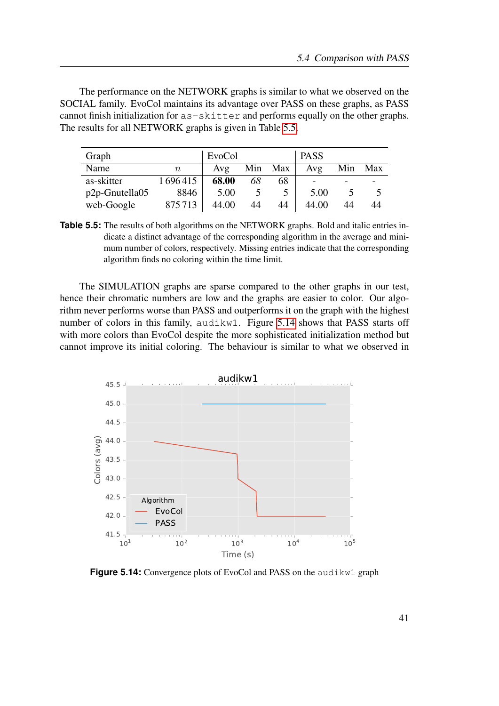The performance on the NETWORK graphs is similar to what we observed on the SOCIAL family. EvoCol maintains its advantage over PASS on these graphs, as PASS cannot finish initialization for as-skitter and performs equally on the other graphs. The results for all NETWORK graphs is given in Table [5.5.](#page-50-0)

<span id="page-50-0"></span>

| Graph                |         | EvoCol |     |     | <b>PASS</b> |     |     |
|----------------------|---------|--------|-----|-----|-------------|-----|-----|
| Name                 | $\eta$  | Avg    | Min | Max | Avg         | Min | Max |
| as-skitter           | 1696415 | 68.00  | 68  | 68  |             |     |     |
| $p2p$ -Gnutella $05$ | 8846    | 5.00   |     |     | 5.00        |     |     |
| web-Google           | 875713  | 44.00  | 44  | 44  | 44.00       | 44  | 44  |

**Table 5.5:** The results of both algorithms on the NETWORK graphs. Bold and italic entries indicate a distinct advantage of the corresponding algorithm in the average and minimum number of colors, respectively. Missing entries indicate that the corresponding algorithm finds no coloring within the time limit.

The SIMULATION graphs are sparse compared to the other graphs in our test, hence their chromatic numbers are low and the graphs are easier to color. Our algorithm never performs worse than PASS and outperforms it on the graph with the highest number of colors in this family, audikw1. Figure [5.14](#page-50-1) shows that PASS starts off with more colors than EvoCol despite the more sophisticated initialization method but cannot improve its initial coloring. The behaviour is similar to what we observed in

<span id="page-50-1"></span>

**Figure 5.14:** Convergence plots of EvoCol and PASS on the audikw1 graph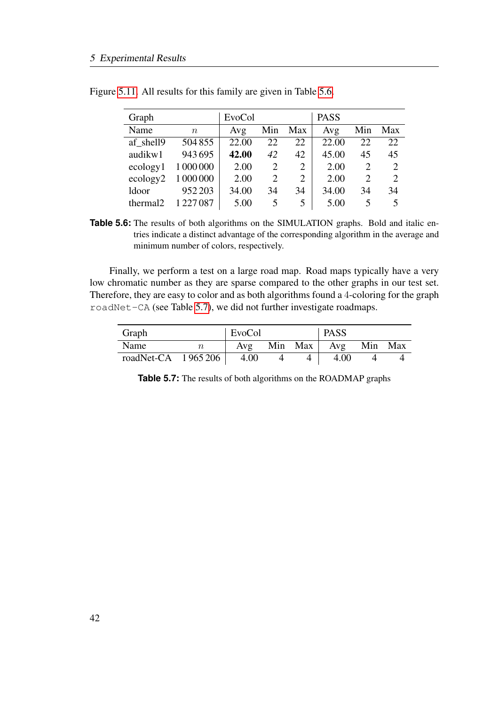| Graph                |           | EvoCol |     |     | <b>PASS</b> |                          |                             |
|----------------------|-----------|--------|-----|-----|-------------|--------------------------|-----------------------------|
| Name                 | $\, n$    | Avg    | Min | Max | Avg         | Min                      | Max                         |
| af shell9            | 504855    | 22.00  | 22  | 22. | 22.00       | 22                       | 22                          |
| audikw1              | 943695    | 42.00  | 42  | 42  | 45.00       | 45                       | 45                          |
| ecology1             | 1 000 000 | 2.00   | 2   | 2   | 2.00        | 2                        | 2                           |
| ecology2             | 1 000 000 | 2.00   | 2   | 2   | 2.00        | 2                        | $\mathcal{D}_{\mathcal{L}}$ |
| ldoor                | 952 203   | 34.00  | 34  | 34  | 34.00       | 34                       | 34                          |
| thermal <sub>2</sub> | 1 227 087 | 5.00   | 5   | 5   | 5.00        | $\overline{\phantom{1}}$ |                             |

<span id="page-51-0"></span>Figure [5.11.](#page-47-0) All results for this family are given in Table [5.6.](#page-51-0)

**Table 5.6:** The results of both algorithms on the SIMULATION graphs. Bold and italic entries indicate a distinct advantage of the corresponding algorithm in the average and minimum number of colors, respectively.

Finally, we perform a test on a large road map. Road maps typically have a very low chromatic number as they are sparse compared to the other graphs in our test set. Therefore, they are easy to color and as both algorithms found a 4-coloring for the graph roadNet-CA (see Table [5.7\)](#page-51-1), we did not further investigate roadmaps.

<span id="page-51-1"></span>

| Graph                | EvoCol |  | <b>PASS</b>         |         |  |
|----------------------|--------|--|---------------------|---------|--|
| Name                 | Avg    |  | Min Max $\vert$ Avg | Min Max |  |
| roadNet-CA $1965206$ | 4.00   |  | 4.00                |         |  |

**Table 5.7:** The results of both algorithms on the ROADMAP graphs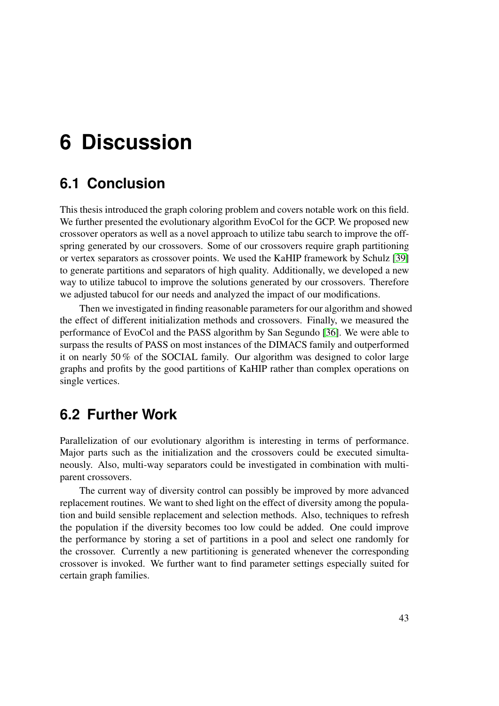# <span id="page-52-0"></span>**6 Discussion**

## <span id="page-52-1"></span>**6.1 Conclusion**

This thesis introduced the graph coloring problem and covers notable work on this field. We further presented the evolutionary algorithm EvoCol for the GCP. We proposed new crossover operators as well as a novel approach to utilize tabu search to improve the offspring generated by our crossovers. Some of our crossovers require graph partitioning or vertex separators as crossover points. We used the KaHIP framework by Schulz [\[39\]](#page-56-5) to generate partitions and separators of high quality. Additionally, we developed a new way to utilize tabucol to improve the solutions generated by our crossovers. Therefore we adjusted tabucol for our needs and analyzed the impact of our modifications.

Then we investigated in finding reasonable parameters for our algorithm and showed the effect of different initialization methods and crossovers. Finally, we measured the performance of EvoCol and the PASS algorithm by San Segundo [\[36\]](#page-56-0). We were able to surpass the results of PASS on most instances of the DIMACS family and outperformed it on nearly 50 % of the SOCIAL family. Our algorithm was designed to color large graphs and profits by the good partitions of KaHIP rather than complex operations on single vertices.

## <span id="page-52-2"></span>**6.2 Further Work**

Parallelization of our evolutionary algorithm is interesting in terms of performance. Major parts such as the initialization and the crossovers could be executed simultaneously. Also, multi-way separators could be investigated in combination with multiparent crossovers.

The current way of diversity control can possibly be improved by more advanced replacement routines. We want to shed light on the effect of diversity among the population and build sensible replacement and selection methods. Also, techniques to refresh the population if the diversity becomes too low could be added. One could improve the performance by storing a set of partitions in a pool and select one randomly for the crossover. Currently a new partitioning is generated whenever the corresponding crossover is invoked. We further want to find parameter settings especially suited for certain graph families.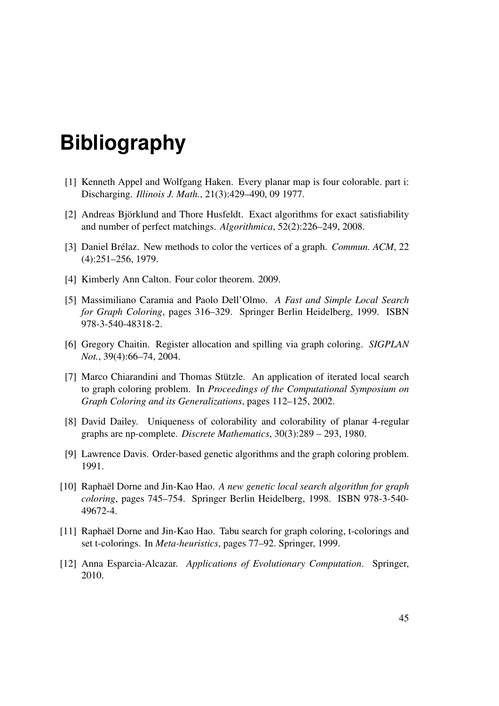# **Bibliography**

- <span id="page-54-3"></span>[1] Kenneth Appel and Wolfgang Haken. Every planar map is four colorable. part i: Discharging. *Illinois J. Math.*, 21(3):429–490, 09 1977.
- <span id="page-54-6"></span>[2] Andreas Björklund and Thore Husfeldt. Exact algorithms for exact satisfiability and number of perfect matchings. *Algorithmica*, 52(2):226–249, 2008.
- <span id="page-54-7"></span>[3] Daniel Brélaz. New methods to color the vertices of a graph. *Commun. ACM*, 22 (4):251–256, 1979.
- <span id="page-54-2"></span>[4] Kimberly Ann Calton. Four color theorem. 2009.
- <span id="page-54-10"></span>[5] Massimiliano Caramia and Paolo Dell'Olmo. *A Fast and Simple Local Search for Graph Coloring*, pages 316–329. Springer Berlin Heidelberg, 1999. ISBN 978-3-540-48318-2.
- <span id="page-54-1"></span>[6] Gregory Chaitin. Register allocation and spilling via graph coloring. *SIGPLAN Not.*, 39(4):66–74, 2004.
- <span id="page-54-8"></span>[7] Marco Chiarandini and Thomas Stützle. An application of iterated local search to graph coloring problem. In *Proceedings of the Computational Symposium on Graph Coloring and its Generalizations*, pages 112–125, 2002.
- <span id="page-54-4"></span>[8] David Dailey. Uniqueness of colorability and colorability of planar 4-regular graphs are np-complete. *Discrete Mathematics*, 30(3):289 – 293, 1980.
- <span id="page-54-11"></span>[9] Lawrence Davis. Order-based genetic algorithms and the graph coloring problem. 1991.
- <span id="page-54-0"></span>[10] Raphaël Dorne and Jin-Kao Hao. *A new genetic local search algorithm for graph coloring*, pages 745–754. Springer Berlin Heidelberg, 1998. ISBN 978-3-540- 49672-4.
- <span id="page-54-9"></span>[11] Raphaël Dorne and Jin-Kao Hao. Tabu search for graph coloring, t-colorings and set t-colorings. In *Meta-heuristics*, pages 77–92. Springer, 1999.
- <span id="page-54-5"></span>[12] Anna Esparcia-Alcazar. *Applications of Evolutionary Computation*. Springer, 2010.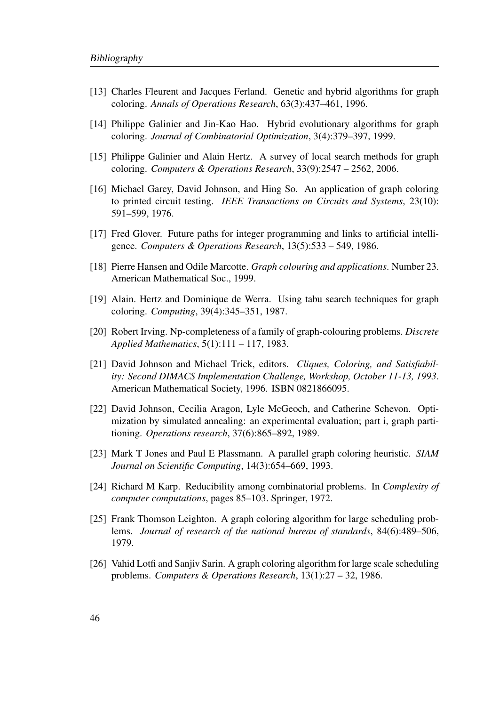- <span id="page-55-10"></span>[13] Charles Fleurent and Jacques Ferland. Genetic and hybrid algorithms for graph coloring. *Annals of Operations Research*, 63(3):437–461, 1996.
- <span id="page-55-9"></span>[14] Philippe Galinier and Jin-Kao Hao. Hybrid evolutionary algorithms for graph coloring. *Journal of Combinatorial Optimization*, 3(4):379–397, 1999.
- <span id="page-55-6"></span>[15] Philippe Galinier and Alain Hertz. A survey of local search methods for graph coloring. *Computers & Operations Research*, 33(9):2547 – 2562, 2006.
- <span id="page-55-1"></span>[16] Michael Garey, David Johnson, and Hing So. An application of graph coloring to printed circuit testing. *IEEE Transactions on Circuits and Systems*, 23(10): 591–599, 1976.
- <span id="page-55-5"></span>[17] Fred Glover. Future paths for integer programming and links to artificial intelligence. *Computers & Operations Research*, 13(5):533 – 549, 1986.
- <span id="page-55-2"></span>[18] Pierre Hansen and Odile Marcotte. *Graph colouring and applications*. Number 23. American Mathematical Soc., 1999.
- <span id="page-55-8"></span>[19] Alain. Hertz and Dominique de Werra. Using tabu search techniques for graph coloring. *Computing*, 39(4):345–351, 1987.
- <span id="page-55-3"></span>[20] Robert Irving. Np-completeness of a family of graph-colouring problems. *Discrete Applied Mathematics*, 5(1):111 – 117, 1983.
- <span id="page-55-11"></span>[21] David Johnson and Michael Trick, editors. *Cliques, Coloring, and Satisfiability: Second DIMACS Implementation Challenge, Workshop, October 11-13, 1993*. American Mathematical Society, 1996. ISBN 0821866095.
- <span id="page-55-12"></span>[22] David Johnson, Cecilia Aragon, Lyle McGeoch, and Catherine Schevon. Optimization by simulated annealing: an experimental evaluation; part i, graph partitioning. *Operations research*, 37(6):865–892, 1989.
- <span id="page-55-7"></span>[23] Mark T Jones and Paul E Plassmann. A parallel graph coloring heuristic. *SIAM Journal on Scientific Computing*, 14(3):654–669, 1993.
- <span id="page-55-4"></span>[24] Richard M Karp. Reducibility among combinatorial problems. In *Complexity of computer computations*, pages 85–103. Springer, 1972.
- <span id="page-55-13"></span>[25] Frank Thomson Leighton. A graph coloring algorithm for large scheduling problems. *Journal of research of the national bureau of standards*, 84(6):489–506, 1979.
- <span id="page-55-0"></span>[26] Vahid Lotfi and Sanjiv Sarin. A graph coloring algorithm for large scale scheduling problems. *Computers & Operations Research*, 13(1):27 – 32, 1986.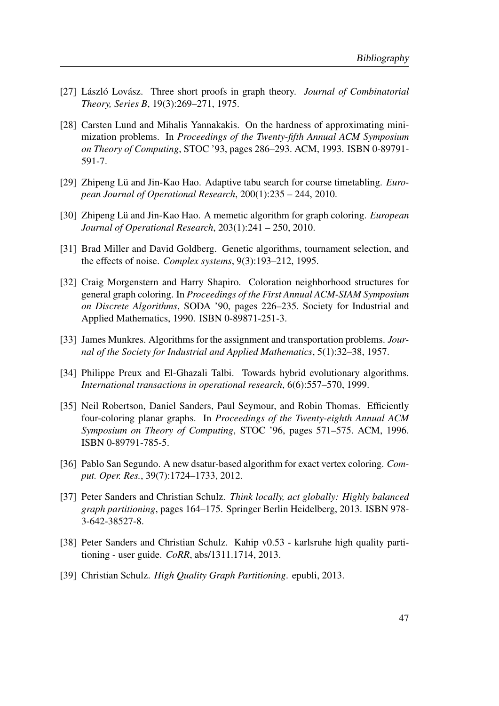- <span id="page-56-8"></span>[27] László Lovász. Three short proofs in graph theory. *Journal of Combinatorial Theory, Series B*, 19(3):269–271, 1975.
- <span id="page-56-7"></span>[28] Carsten Lund and Mihalis Yannakakis. On the hardness of approximating minimization problems. In *Proceedings of the Twenty-fifth Annual ACM Symposium on Theory of Computing*, STOC '93, pages 286–293. ACM, 1993. ISBN 0-89791- 591-7.
- <span id="page-56-9"></span>[29] Zhipeng Lü and Jin-Kao Hao. Adaptive tabu search for course timetabling. *European Journal of Operational Research*, 200(1):235 – 244, 2010.
- <span id="page-56-11"></span>[30] Zhipeng Lü and Jin-Kao Hao. A memetic algorithm for graph coloring. *European Journal of Operational Research*, 203(1):241 – 250, 2010.
- <span id="page-56-12"></span>[31] Brad Miller and David Goldberg. Genetic algorithms, tournament selection, and the effects of noise. *Complex systems*, 9(3):193–212, 1995.
- <span id="page-56-4"></span>[32] Craig Morgenstern and Harry Shapiro. Coloration neighborhood structures for general graph coloring. In *Proceedings of the First Annual ACM-SIAM Symposium on Discrete Algorithms*, SODA '90, pages 226–235. Society for Industrial and Applied Mathematics, 1990. ISBN 0-89871-251-3.
- <span id="page-56-3"></span>[33] James Munkres. Algorithms for the assignment and transportation problems. *Journal of the Society for Industrial and Applied Mathematics*, 5(1):32–38, 1957.
- <span id="page-56-10"></span>[34] Philippe Preux and El-Ghazali Talbi. Towards hybrid evolutionary algorithms. *International transactions in operational research*, 6(6):557–570, 1999.
- <span id="page-56-1"></span>[35] Neil Robertson, Daniel Sanders, Paul Seymour, and Robin Thomas. Efficiently four-coloring planar graphs. In *Proceedings of the Twenty-eighth Annual ACM Symposium on Theory of Computing*, STOC '96, pages 571–575. ACM, 1996. ISBN 0-89791-785-5.
- <span id="page-56-0"></span>[36] Pablo San Segundo. A new dsatur-based algorithm for exact vertex coloring. *Comput. Oper. Res.*, 39(7):1724–1733, 2012.
- <span id="page-56-2"></span>[37] Peter Sanders and Christian Schulz. *Think locally, act globally: Highly balanced graph partitioning*, pages 164–175. Springer Berlin Heidelberg, 2013. ISBN 978- 3-642-38527-8.
- <span id="page-56-6"></span>[38] Peter Sanders and Christian Schulz. Kahip v0.53 - karlsruhe high quality partitioning - user guide. *CoRR*, abs/1311.1714, 2013.
- <span id="page-56-5"></span>[39] Christian Schulz. *High Quality Graph Partitioning*. epubli, 2013.